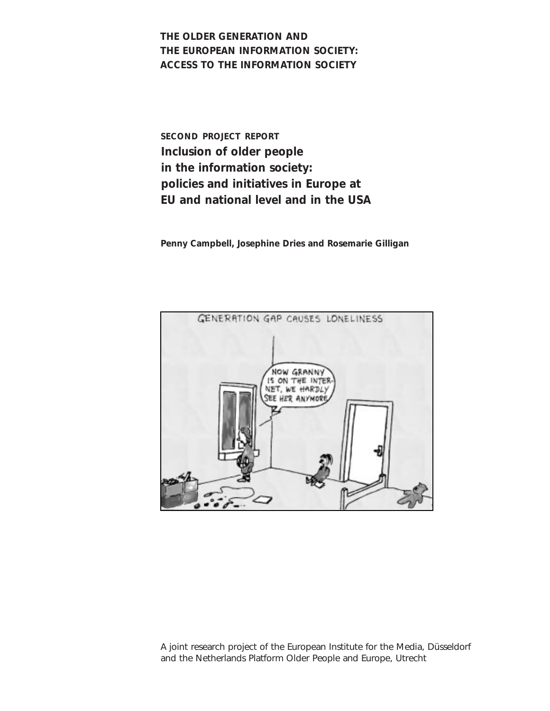**THE OLDER GENERATION AND THE EUROPEAN INFORMATION SOCIETY: ACCESS TO THE INFORMATION SOCIETY** 

**SECOND PROJECT REPORT Inclusion of older people in the information society: policies and initiatives in Europe at EU and national level and in the USA**

**Penny Campbell, Josephine Dries and Rosemarie Gilligan** 



A joint research project of the European Institute for the Media, Düsseldorf and the Netherlands Platform Older People and Europe, Utrecht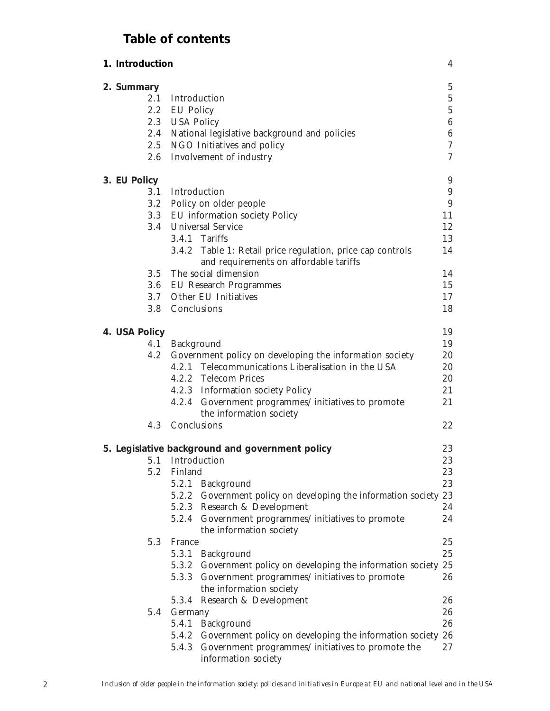# **Table of contents**

| 1. Introduction |                  |                                                                               | $\overline{4}$   |
|-----------------|------------------|-------------------------------------------------------------------------------|------------------|
| 2. Summary      |                  |                                                                               | $\overline{5}$   |
| 2.1             | Introduction     |                                                                               | $\mathbf 5$      |
|                 | 2.2 EU Policy    |                                                                               | $\overline{5}$   |
|                 | 2.3 USA Policy   |                                                                               | $\,6\,$          |
|                 |                  | 2.4 National legislative background and policies                              | $\,6\,$          |
|                 |                  | 2.5 NGO Initiatives and policy                                                | $\boldsymbol{7}$ |
| 2.6             |                  | Involvement of industry                                                       | $\overline{7}$   |
| 3. EU Policy    |                  |                                                                               | 9                |
|                 | 3.1 Introduction |                                                                               | $\boldsymbol{9}$ |
|                 |                  | 3.2 Policy on older people                                                    | 9                |
|                 |                  | 3.3 EU information society Policy                                             | 11               |
|                 |                  | 3.4 Universal Service                                                         | 12               |
|                 |                  | 3.4.1 Tariffs                                                                 | 13               |
|                 |                  | 3.4.2 Table 1: Retail price regulation, price cap controls                    | 14               |
|                 |                  | and requirements on affordable tariffs                                        |                  |
|                 |                  | 3.5 The social dimension                                                      | 14               |
|                 |                  | 3.6 EU Research Programmes                                                    | 15               |
|                 |                  | 3.7 Other EU Initiatives                                                      | 17               |
|                 | 3.8 Conclusions  |                                                                               | 18               |
| 4. USA Policy   |                  |                                                                               | 19               |
| 4.1             | Background       |                                                                               | 19               |
| 4.2             |                  | Government policy on developing the information society                       | 20               |
|                 |                  | 4.2.1 Telecommunications Liberalisation in the USA                            | 20               |
|                 |                  | 4.2.2 Telecom Prices                                                          | 20               |
|                 |                  | 4.2.3 Information society Policy                                              | 21               |
|                 |                  | 4.2.4 Government programmes/initiatives to promote                            | 21               |
|                 |                  | the information society                                                       |                  |
| 4.3             | Conclusions      |                                                                               | 22               |
|                 |                  | 5. Legislative background and government policy                               | 23               |
|                 | 5.1 Introduction |                                                                               | 23               |
|                 | 5.2 Finland      |                                                                               | 23               |
|                 |                  | 5.2.1 Background                                                              | 23               |
|                 |                  | 5.2.2 Government policy on developing the information society 23              |                  |
|                 |                  | 5.2.3 Research & Development                                                  | 24               |
|                 |                  | 5.2.4 Government programmes/initiatives to promote                            | 24               |
|                 |                  | the information society                                                       |                  |
| 5.3             | France           |                                                                               | 25               |
|                 |                  | 5.3.1 Background                                                              | 25               |
|                 |                  | 5.3.2 Government policy on developing the information society 25              |                  |
|                 |                  | 5.3.3 Government programmes/initiatives to promote                            | 26               |
|                 |                  | the information society                                                       |                  |
|                 |                  | 5.3.4 Research & Development                                                  | 26               |
| 5.4             | Germany          |                                                                               | 26               |
|                 |                  | 5.4.1 Background                                                              | 26               |
|                 |                  | 5.4.2 Government policy on developing the information society 26              |                  |
|                 |                  | 5.4.3 Government programmes/initiatives to promote the<br>information society | 27               |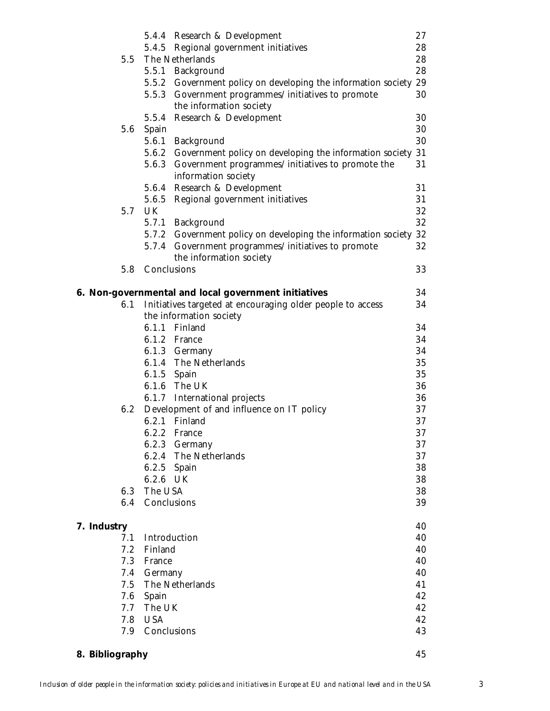|                 |                 | 5.4.4 Research & Development                                  | 27 |
|-----------------|-----------------|---------------------------------------------------------------|----|
|                 |                 | 5.4.5 Regional government initiatives                         | 28 |
| 5.5             |                 | The Netherlands                                               | 28 |
|                 |                 | 5.5.1 Background                                              | 28 |
|                 |                 | 5.5.2 Government policy on developing the information society | 29 |
|                 |                 | 5.5.3 Government programmes/initiatives to promote            | 30 |
|                 |                 | the information society                                       |    |
|                 |                 | 5.5.4 Research & Development                                  | 30 |
| 5.6             | Spain           |                                                               | 30 |
|                 |                 | 5.6.1 Background                                              | 30 |
|                 |                 | 5.6.2 Government policy on developing the information society | 31 |
|                 |                 | 5.6.3 Government programmes/initiatives to promote the        | 31 |
|                 |                 | information society                                           |    |
|                 |                 | 5.6.4 Research & Development                                  | 31 |
|                 |                 | 5.6.5 Regional government initiatives                         | 31 |
| 5.7             | UK              |                                                               | 32 |
|                 |                 | 5.7.1 Background                                              | 32 |
|                 |                 | 5.7.2 Government policy on developing the information society | 32 |
|                 |                 | 5.7.4 Government programmes/initiatives to promote            | 32 |
|                 |                 | the information society                                       |    |
| 5.8             | Conclusions     |                                                               | 33 |
|                 |                 |                                                               |    |
|                 |                 | 6. Non-governmental and local government initiatives          | 34 |
| 6.1             |                 | Initiatives targeted at encouraging older people to access    | 34 |
|                 |                 | the information society                                       |    |
|                 |                 | 6.1.1 Finland                                                 | 34 |
|                 |                 | 6.1.2 France                                                  | 34 |
|                 |                 | 6.1.3 Germany                                                 | 34 |
|                 |                 | 6.1.4 The Netherlands                                         | 35 |
|                 | 6.1.5 Spain     |                                                               | 35 |
|                 |                 | 6.1.6 The UK                                                  | 36 |
|                 |                 | 6.1.7 International projects                                  | 36 |
| 6.2             |                 | Development of and influence on IT policy                     | 37 |
|                 |                 | 6.2.1 Finland                                                 | 37 |
|                 |                 | 6.2.2 France                                                  | 37 |
|                 |                 | 6.2.3 Germany                                                 | 37 |
|                 |                 | 6.2.4 The Netherlands                                         | 37 |
|                 | 6.2.5 Spain     |                                                               | 38 |
|                 | 6.2.6 UK        |                                                               | 38 |
| 6.3             | The USA         |                                                               | 38 |
|                 | 6.4 Conclusions |                                                               | 39 |
|                 |                 |                                                               |    |
| 7. Industry     |                 |                                                               | 40 |
| 7.1             |                 | Introduction                                                  | 40 |
| 7.2             | Finland         |                                                               | 40 |
|                 | 7.3 France      |                                                               | 40 |
|                 | 7.4 Germany     |                                                               | 40 |
|                 |                 | 7.5 The Netherlands                                           | 41 |
|                 | 7.6 Spain       |                                                               | 42 |
| 7.7             | The UK          |                                                               | 42 |
| 7.8             | <b>USA</b>      |                                                               | 42 |
|                 | 7.9 Conclusions |                                                               | 43 |
|                 |                 |                                                               |    |
| 8. Bibliography |                 |                                                               | 45 |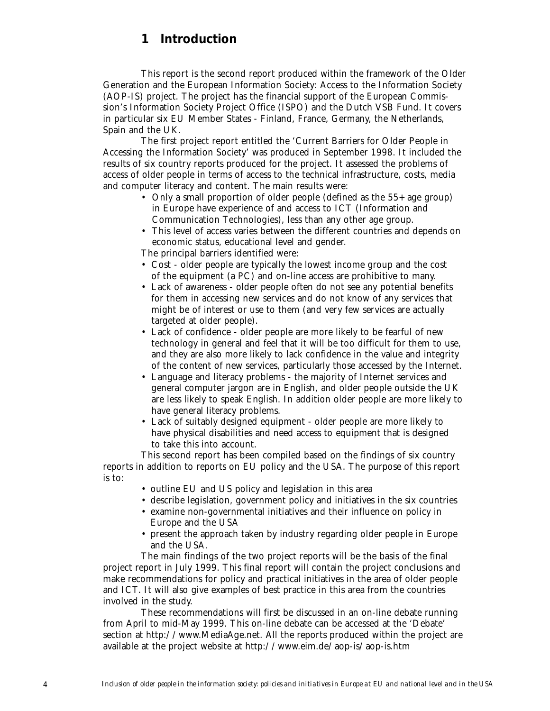# **1 Introduction**

This report is the second report produced within the framework of the Older Generation and the European Information Society: Access to the Information Society (AOP-IS) project. The project has the financial support of the European Commission's Information Society Project Office (ISPO) and the Dutch VSB Fund. It covers in particular six EU Member States - Finland, France, Germany, the Netherlands, Spain and the UK.

The first project report entitled the 'Current Barriers for Older People in Accessing the Information Society' was produced in September 1998. It included the results of six country reports produced for the project. It assessed the problems of access of older people in terms of access to the technical infrastructure, costs, media and computer literacy and content. The main results were:

- Only a small proportion of older people (defined as the 55+ age group) in Europe have experience of and access to ICT (Information and Communication Technologies), less than any other age group.
- This level of access varies between the different countries and depends on economic status, educational level and gender.

The principal barriers identified were:

- Cost older people are typically the lowest income group and the cost of the equipment (a PC) and on-line access are prohibitive to many.
- Lack of awareness older people often do not see any potential benefits for them in accessing new services and do not know of any services that might be of interest or use to them (and very few services are actually targeted at older people).
- Lack of confidence older people are more likely to be fearful of new technology in general and feel that it will be too difficult for them to use, and they are also more likely to lack confidence in the value and integrity of the content of new services, particularly those accessed by the Internet.
- Language and literacy problems the majority of Internet services and general computer jargon are in English, and older people outside the UK are less likely to speak English. In addition older people are more likely to have general literacy problems.
- Lack of suitably designed equipment older people are more likely to have physical disabilities and need access to equipment that is designed to take this into account.

This second report has been compiled based on the findings of six country reports in addition to reports on EU policy and the USA. The purpose of this report is to:

- outline EU and US policy and legislation in this area
- describe legislation, government policy and initiatives in the six countries
- examine non-governmental initiatives and their influence on policy in Europe and the USA
- present the approach taken by industry regarding older people in Europe and the USA.

The main findings of the two project reports will be the basis of the final project report in July 1999. This final report will contain the project conclusions and make recommendations for policy and practical initiatives in the area of older people and ICT. It will also give examples of best practice in this area from the countries involved in the study.

These recommendations will first be discussed in an on-line debate running from April to mid-May 1999. This on-line debate can be accessed at the 'Debate' section at http://www.MediaAge.net. All the reports produced within the project are available at the project website at http://www.eim.de/aop-is/aop-is.htm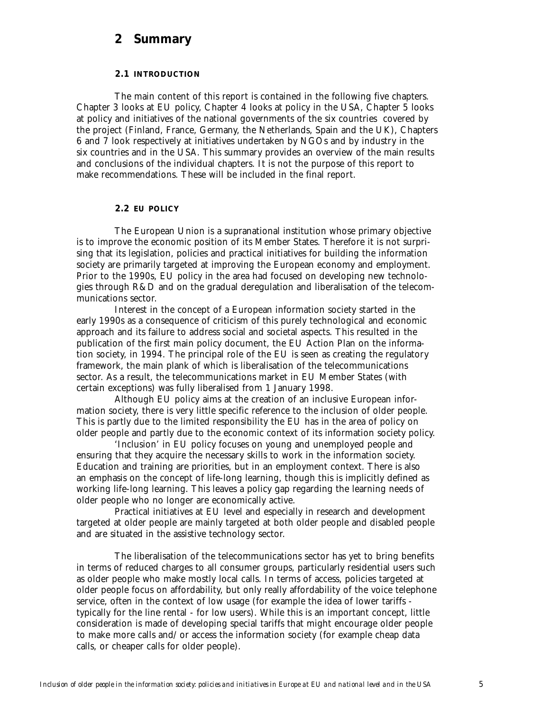# **2 Summary**

# **2.1 INTRODUCTION**

The main content of this report is contained in the following five chapters. Chapter 3 looks at EU policy, Chapter 4 looks at policy in the USA, Chapter 5 looks at policy and initiatives of the national governments of the six countries covered by the project (Finland, France, Germany, the Netherlands, Spain and the UK), Chapters 6 and 7 look respectively at initiatives undertaken by NGOs and by industry in the six countries and in the USA. This summary provides an overview of the main results and conclusions of the individual chapters. It is not the purpose of this report to make recommendations. These will be included in the final report.

### **2.2 EU POLICY**

The European Union is a supranational institution whose primary objective is to improve the economic position of its Member States. Therefore it is not surprising that its legislation, policies and practical initiatives for building the information society are primarily targeted at improving the European economy and employment. Prior to the 1990s, EU policy in the area had focused on developing new technologies through R&D and on the gradual deregulation and liberalisation of the telecommunications sector.

Interest in the concept of a European information society started in the early 1990s as a consequence of criticism of this purely technological and economic approach and its failure to address social and societal aspects. This resulted in the publication of the first main policy document, the EU Action Plan on the information society, in 1994. The principal role of the EU is seen as creating the regulatory framework, the main plank of which is liberalisation of the telecommunications sector. As a result, the telecommunications market in EU Member States (with certain exceptions) was fully liberalised from 1 January 1998.

Although EU policy aims at the creation of an inclusive European information society, there is very little specific reference to the inclusion of older people. This is partly due to the limited responsibility the EU has in the area of policy on older people and partly due to the economic context of its information society policy.

'Inclusion' in EU policy focuses on young and unemployed people and ensuring that they acquire the necessary skills to work in the information society. Education and training are priorities, but in an employment context. There is also an emphasis on the concept of life-long learning, though this is implicitly defined as working life-long learning. This leaves a policy gap regarding the learning needs of older people who no longer are economically active.

Practical initiatives at EU level and especially in research and development targeted at older people are mainly targeted at both older people and disabled people and are situated in the assistive technology sector.

The liberalisation of the telecommunications sector has yet to bring benefits in terms of reduced charges to all consumer groups, particularly residential users such as older people who make mostly local calls. In terms of access, policies targeted at older people focus on affordability, but only really affordability of the voice telephone service, often in the context of low usage (for example the idea of lower tariffs typically for the line rental - for low users). While this is an important concept, little consideration is made of developing special tariffs that might encourage older people to make more calls and/or access the information society (for example cheap data calls, or cheaper calls for older people).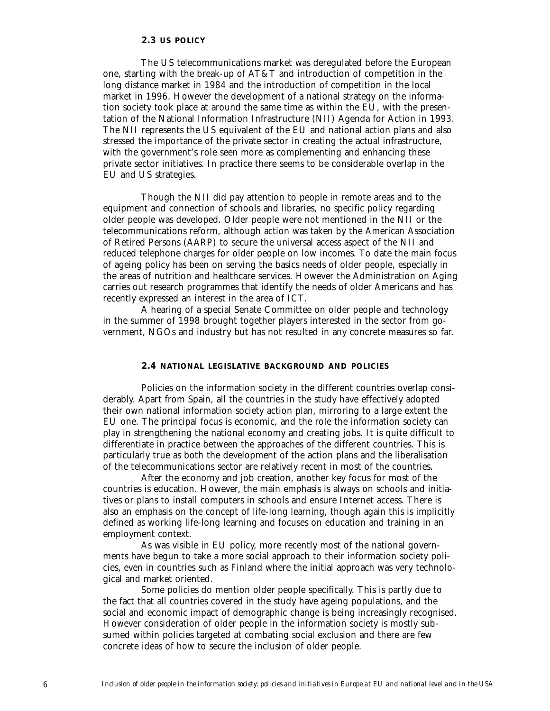# **2.3 US POLICY**

The US telecommunications market was deregulated before the European one, starting with the break-up of AT&T and introduction of competition in the long distance market in 1984 and the introduction of competition in the local market in 1996. However the development of a national strategy on the information society took place at around the same time as within the EU, with the presentation of the National Information Infrastructure (NII) Agenda for Action in 1993. The NII represents the US equivalent of the EU and national action plans and also stressed the importance of the private sector in creating the actual infrastructure, with the government's role seen more as complementing and enhancing these private sector initiatives. In practice there seems to be considerable overlap in the EU and US strategies.

Though the NII did pay attention to people in remote areas and to the equipment and connection of schools and libraries, no specific policy regarding older people was developed. Older people were not mentioned in the NII or the telecommunications reform, although action was taken by the American Association of Retired Persons (AARP) to secure the universal access aspect of the NII and reduced telephone charges for older people on low incomes. To date the main focus of ageing policy has been on serving the basics needs of older people, especially in the areas of nutrition and healthcare services. However the Administration on Aging carries out research programmes that identify the needs of older Americans and has recently expressed an interest in the area of ICT.

A hearing of a special Senate Committee on older people and technology in the summer of 1998 brought together players interested in the sector from government, NGOs and industry but has not resulted in any concrete measures so far.

# **2.4 NATIONAL LEGISLATIVE BACKGROUND AND POLICIES**

Policies on the information society in the different countries overlap considerably. Apart from Spain, all the countries in the study have effectively adopted their own national information society action plan, mirroring to a large extent the EU one. The principal focus is economic, and the role the information society can play in strengthening the national economy and creating jobs. It is quite difficult to differentiate in practice between the approaches of the different countries. This is particularly true as both the development of the action plans and the liberalisation of the telecommunications sector are relatively recent in most of the countries.

After the economy and job creation, another key focus for most of the countries is education. However, the main emphasis is always on schools and initiatives or plans to install computers in schools and ensure Internet access. There is also an emphasis on the concept of life-long learning, though again this is implicitly defined as working life-long learning and focuses on education and training in an employment context.

As was visible in EU policy, more recently most of the national governments have begun to take a more social approach to their information society policies, even in countries such as Finland where the initial approach was very technological and market oriented.

Some policies do mention older people specifically. This is partly due to the fact that all countries covered in the study have ageing populations, and the social and economic impact of demographic change is being increasingly recognised. However consideration of older people in the information society is mostly subsumed within policies targeted at combating social exclusion and there are few concrete ideas of how to secure the inclusion of older people.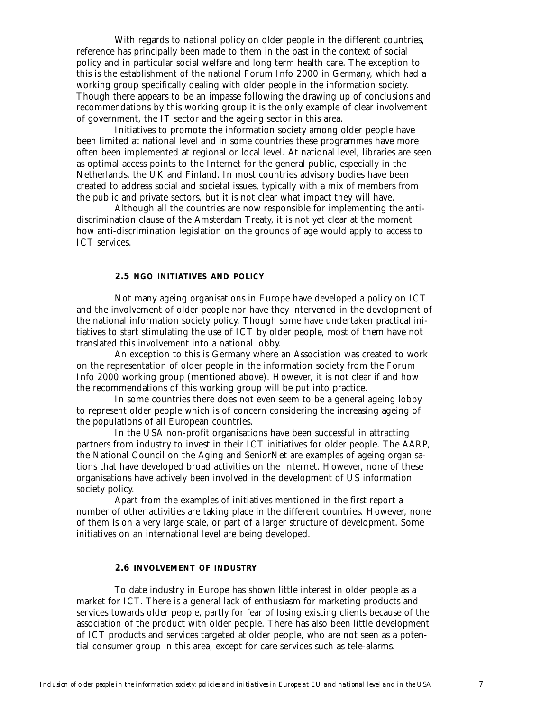With regards to national policy on older people in the different countries, reference has principally been made to them in the past in the context of social policy and in particular social welfare and long term health care. The exception to this is the establishment of the national Forum Info 2000 in Germany, which had a working group specifically dealing with older people in the information society. Though there appears to be an impasse following the drawing up of conclusions and recommendations by this working group it is the only example of clear involvement of government, the IT sector and the ageing sector in this area.

Initiatives to promote the information society among older people have been limited at national level and in some countries these programmes have more often been implemented at regional or local level. At national level, libraries are seen as optimal access points to the Internet for the general public, especially in the Netherlands, the UK and Finland. In most countries advisory bodies have been created to address social and societal issues, typically with a mix of members from the public and private sectors, but it is not clear what impact they will have.

Although all the countries are now responsible for implementing the antidiscrimination clause of the Amsterdam Treaty, it is not yet clear at the moment how anti-discrimination legislation on the grounds of age would apply to access to ICT services.

# **2.5 NGO INITIATIVES AND POLICY**

Not many ageing organisations in Europe have developed a policy on ICT and the involvement of older people nor have they intervened in the development of the national information society policy. Though some have undertaken practical initiatives to start stimulating the use of ICT by older people, most of them have not translated this involvement into a national lobby.

An exception to this is Germany where an Association was created to work on the representation of older people in the information society from the Forum Info 2000 working group (mentioned above). However, it is not clear if and how the recommendations of this working group will be put into practice.

In some countries there does not even seem to be a general ageing lobby to represent older people which is of concern considering the increasing ageing of the populations of all European countries.

In the USA non-profit organisations have been successful in attracting partners from industry to invest in their ICT initiatives for older people. The AARP, the National Council on the Aging and SeniorNet are examples of ageing organisations that have developed broad activities on the Internet. However, none of these organisations have actively been involved in the development of US information society policy.

Apart from the examples of initiatives mentioned in the first report a number of other activities are taking place in the different countries. However, none of them is on a very large scale, or part of a larger structure of development. Some initiatives on an international level are being developed.

# **2.6 INVOLVEMENT OF INDUSTRY**

To date industry in Europe has shown little interest in older people as a market for ICT. There is a general lack of enthusiasm for marketing products and services towards older people, partly for fear of losing existing clients because of the association of the product with older people. There has also been little development of ICT products and services targeted at older people, who are not seen as a potential consumer group in this area, except for care services such as tele-alarms.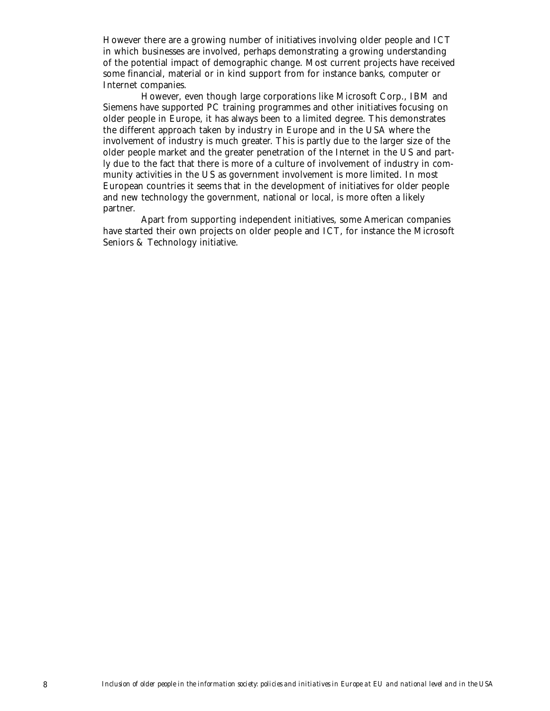However there are a growing number of initiatives involving older people and ICT in which businesses are involved, perhaps demonstrating a growing understanding of the potential impact of demographic change. Most current projects have received some financial, material or in kind support from for instance banks, computer or Internet companies.

However, even though large corporations like Microsoft Corp., IBM and Siemens have supported PC training programmes and other initiatives focusing on older people in Europe, it has always been to a limited degree. This demonstrates the different approach taken by industry in Europe and in the USA where the involvement of industry is much greater. This is partly due to the larger size of the older people market and the greater penetration of the Internet in the US and partly due to the fact that there is more of a culture of involvement of industry in community activities in the US as government involvement is more limited. In most European countries it seems that in the development of initiatives for older people and new technology the government, national or local, is more often a likely partner.

Apart from supporting independent initiatives, some American companies have started their own projects on older people and ICT, for instance the Microsoft Seniors & Technology initiative.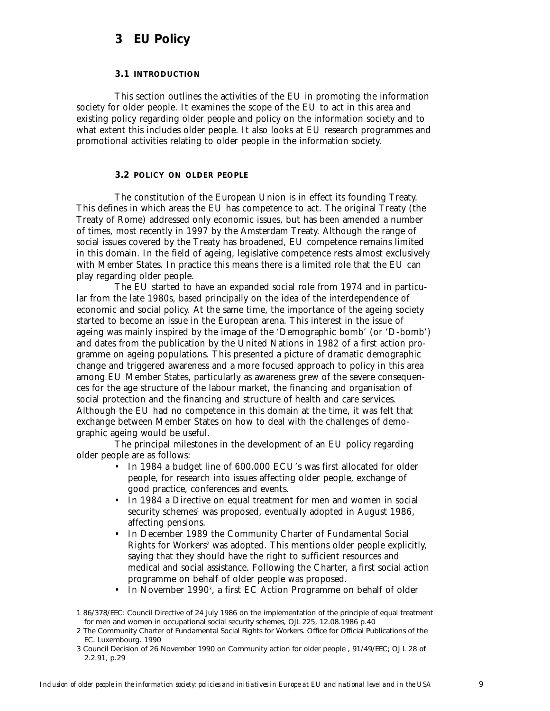# **3 EU Policy**

# **3.1 INTRODUCTION**

This section outlines the activities of the EU in promoting the information society for older people. It examines the scope of the EU to act in this area and existing policy regarding older people and policy on the information society and to what extent this includes older people. It also looks at EU research programmes and promotional activities relating to older people in the information society.

### **3.2 POLICY ON OLDER PEOPLE**

The constitution of the European Union is in effect its founding Treaty. This defines in which areas the EU has competence to act. The original Treaty (the Treaty of Rome) addressed only economic issues, but has been amended a number of times, most recently in 1997 by the Amsterdam Treaty. Although the range of social issues covered by the Treaty has broadened, EU competence remains limited in this domain. In the field of ageing, legislative competence rests almost exclusively with Member States. In practice this means there is a limited role that the EU can play regarding older people.

The EU started to have an expanded social role from 1974 and in particular from the late 1980s, based principally on the idea of the interdependence of economic and social policy. At the same time, the importance of the ageing society started to become an issue in the European arena. This interest in the issue of ageing was mainly inspired by the image of the 'Demographic bomb' (or 'D-bomb') and dates from the publication by the United Nations in 1982 of a first action programme on ageing populations. This presented a picture of dramatic demographic change and triggered awareness and a more focused approach to policy in this area among EU Member States, particularly as awareness grew of the severe consequences for the age structure of the labour market, the financing and organisation of social protection and the financing and structure of health and care services. Although the EU had no competence in this domain at the time, it was felt that exchange between Member States on how to deal with the challenges of demographic ageing would be useful.

The principal milestones in the development of an EU policy regarding older people are as follows:

- In 1984 a budget line of 600.000 ECU's was first allocated for older people, for research into issues affecting older people, exchange of good practice, conferences and events.
- In 1984 a Directive on equal treatment for men and women in social security schemes<sup>1</sup> was proposed, eventually adopted in August 1986, affecting pensions.
- In December 1989 the Community Charter of Fundamental Social Rights for Workers<sup>2</sup> was adopted. This mentions older people explicitly, saying that they should have the right to sufficient resources and medical and social assistance. Following the Charter, a first social action programme on behalf of older people was proposed.
- In November 1990<sup>3</sup>, a first EC Action Programme on behalf of older

<sup>1 86/378/</sup>EEC: Council Directive of 24 July 1986 on the implementation of the principle of equal treatment for men and women in occupational social security schemes, OJL 225, 12.08.1986 p.40

<sup>2</sup> The Community Charter of Fundamental Social Rights for Workers. Office for Official Publications of the EC. Luxembourg. 1990

<sup>3</sup> Council Decision of 26 November 1990 on Community action for older people , 91/49/EEC; OJ L 28 of 2.2.91, p.29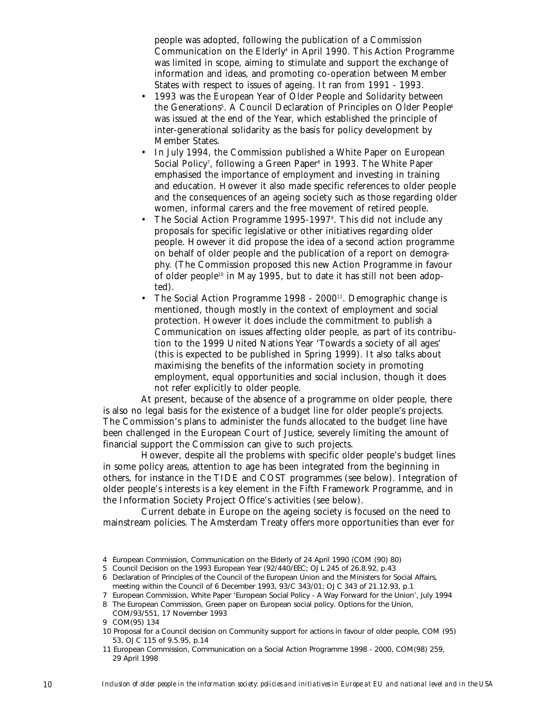people was adopted, following the publication of a Commission Communication on the Elderly<sup>4</sup> in April 1990. This Action Programme was limited in scope, aiming to stimulate and support the exchange of information and ideas, and promoting co-operation between Member States with respect to issues of ageing. It ran from 1991 - 1993.

- 1993 was the European Year of Older People and Solidarity between the Generations5. A Council Declaration of Principles on Older People6 was issued at the end of the Year, which established the principle of inter-generational solidarity as the basis for policy development by Member States.
- In July 1994, the Commission published a White Paper on European Social Policy<sup>7</sup>, following a Green Paper<sup>s</sup> in 1993. The White Paper emphasised the importance of employment and investing in training and education. However it also made specific references to older people and the consequences of an ageing society such as those regarding older women, informal carers and the free movement of retired people.
- The Social Action Programme 1995-1997<sup>9</sup>. This did not include any proposals for specific legislative or other initiatives regarding older people. However it did propose the idea of a second action programme on behalf of older people and the publication of a report on demography. (The Commission proposed this new Action Programme in favour of older people<sup>10</sup> in May 1995, but to date it has still not been adopted).
- The Social Action Programme 1998  $2000<sup>11</sup>$ . Demographic change is mentioned, though mostly in the context of employment and social protection. However it does include the commitment to publish a Communication on issues affecting older people, as part of its contribution to the 1999 United Nations Year 'Towards a society of all ages' (this is expected to be published in Spring 1999). It also talks about maximising the benefits of the information society in promoting employment, equal opportunities and social inclusion, though it does not refer explicitly to older people.

At present, because of the absence of a programme on older people, there is also no legal basis for the existence of a budget line for older people's projects. The Commission's plans to administer the funds allocated to the budget line have been challenged in the European Court of Justice, severely limiting the amount of financial support the Commission can give to such projects.

However, despite all the problems with specific older people's budget lines in some policy areas, attention to age has been integrated from the beginning in others, for instance in the TIDE and COST programmes (see below). Integration of older people's interests is a key element in the Fifth Framework Programme, and in the Information Society Project Office's activities (see below).

Current debate in Europe on the ageing society is focused on the need to mainstream policies. The Amsterdam Treaty offers more opportunities than ever for

<sup>4</sup> European Commission, Communication on the Elderly of 24 April 1990 (COM (90) 80)

<sup>5</sup> Council Decision on the 1993 European Year (92/440/EEC; OJ L 245 of 26.8.92, p.43

<sup>6</sup> Declaration of Principles of the Council of the European Union and the Ministers for Social Affairs, meeting within the Council of 6 December 1993, 93/C 343/01; OJ C 343 of 21.12.93, p.1

<sup>7</sup> European Commission, White Paper 'European Social Policy - A Way Forward for the Union', July 1994

<sup>8</sup> The European Commission, Green paper on European social policy. Options for the Union, COM/93/551, 17 November 1993

<sup>9</sup> COM(95) 134

<sup>10</sup> Proposal for a Council decision on Community support for actions in favour of older people, COM (95) 53, OJ C 115 of 9.5.95, p.14

<sup>11</sup> European Commission, Communication on a Social Action Programme 1998 - 2000, COM(98) 259, 29 April 1998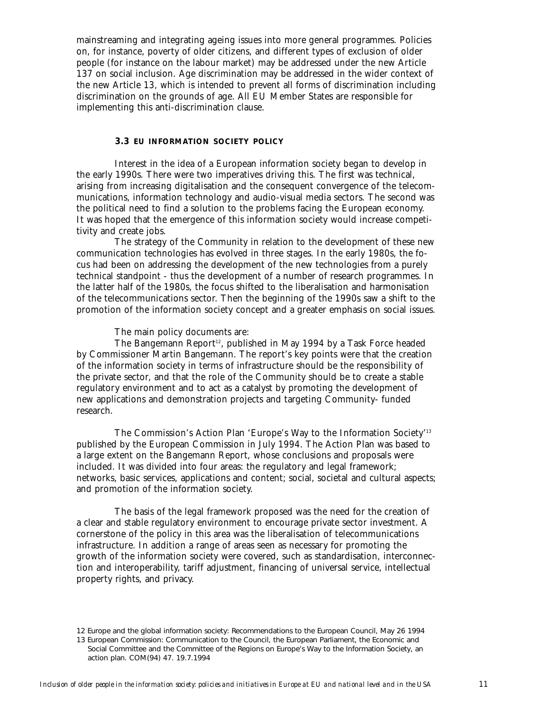mainstreaming and integrating ageing issues into more general programmes. Policies on, for instance, poverty of older citizens, and different types of exclusion of older people (for instance on the labour market) may be addressed under the new Article 137 on social inclusion. Age discrimination may be addressed in the wider context of the new Article 13, which is intended to prevent all forms of discrimination including discrimination on the grounds of age. All EU Member States are responsible for implementing this anti-discrimination clause.

#### **3.3 EU INFORMATION SOCIETY POLICY**

Interest in the idea of a European information society began to develop in the early 1990s. There were two imperatives driving this. The first was technical, arising from increasing digitalisation and the consequent convergence of the telecommunications, information technology and audio-visual media sectors. The second was the political need to find a solution to the problems facing the European economy. It was hoped that the emergence of this information society would increase competitivity and create jobs.

The strategy of the Community in relation to the development of these new communication technologies has evolved in three stages. In the early 1980s, the focus had been on addressing the development of the new technologies from a purely technical standpoint - thus the development of a number of research programmes. In the latter half of the 1980s, the focus shifted to the liberalisation and harmonisation of the telecommunications sector. Then the beginning of the 1990s saw a shift to the promotion of the information society concept and a greater emphasis on social issues.

The main policy documents are:

The Bangemann Report<sup>12</sup>, published in May 1994 by a Task Force headed by Commissioner Martin Bangemann. The report's key points were that the creation of the information society in terms of infrastructure should be the responsibility of the private sector, and that the role of the Community should be to create a stable regulatory environment and to act as a catalyst by promoting the development of new applications and demonstration projects and targeting Community- funded research.

The Commission's Action Plan 'Europe's Way to the Information Society'13 published by the European Commission in July 1994. The Action Plan was based to a large extent on the Bangemann Report, whose conclusions and proposals were included. It was divided into four areas: the regulatory and legal framework; networks, basic services, applications and content; social, societal and cultural aspects; and promotion of the information society.

The basis of the legal framework proposed was the need for the creation of a clear and stable regulatory environment to encourage private sector investment. A cornerstone of the policy in this area was the liberalisation of telecommunications infrastructure. In addition a range of areas seen as necessary for promoting the growth of the information society were covered, such as standardisation, interconnection and interoperability, tariff adjustment, financing of universal service, intellectual property rights, and privacy.

<sup>12</sup> Europe and the global information society: Recommendations to the European Council, May 26 1994 13 European Commission: Communication to the Council, the European Parliament, the Economic and Social Committee and the Committee of the Regions on Europe's Way to the Information Society, an action plan. COM(94) 47. 19.7.1994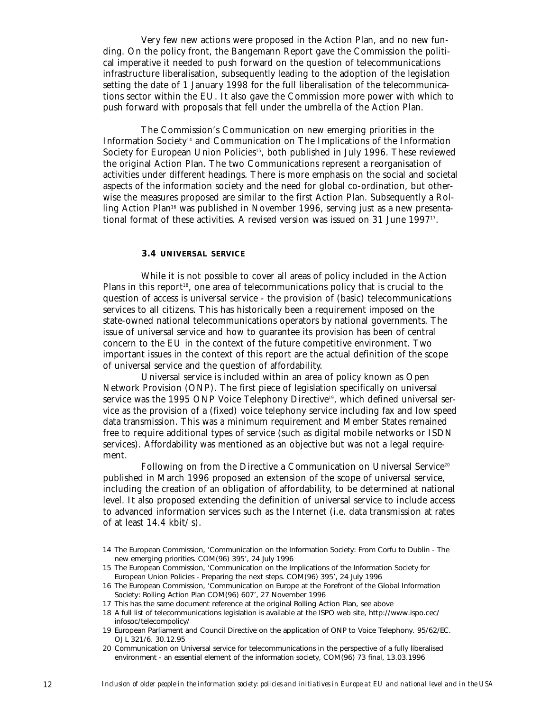Very few new actions were proposed in the Action Plan, and no new funding. On the policy front, the Bangemann Report gave the Commission the political imperative it needed to push forward on the question of telecommunications infrastructure liberalisation, subsequently leading to the adoption of the legislation setting the date of 1 January 1998 for the full liberalisation of the telecommunications sector within the EU. It also gave the Commission more power with which to push forward with proposals that fell under the umbrella of the Action Plan.

The Commission's Communication on new emerging priorities in the Information Society14 and Communication on The Implications of the Information Society for European Union Policies<sup>15</sup>, both published in July 1996. These reviewed the original Action Plan. The two Communications represent a reorganisation of activities under different headings. There is more emphasis on the social and societal aspects of the information society and the need for global co-ordination, but otherwise the measures proposed are similar to the first Action Plan. Subsequently a Rolling Action Plan<sup>16</sup> was published in November 1996, serving just as a new presentational format of these activities. A revised version was issued on 31 June 1997<sup>17</sup>.

#### **3.4 UNIVERSAL SERVICE**

While it is not possible to cover all areas of policy included in the Action Plans in this report<sup>18</sup>, one area of telecommunications policy that is crucial to the question of access is universal service - the provision of (basic) telecommunications services to all citizens. This has historically been a requirement imposed on the state-owned national telecommunications operators by national governments. The issue of universal service and how to guarantee its provision has been of central concern to the EU in the context of the future competitive environment. Two important issues in the context of this report are the actual definition of the scope of universal service and the question of affordability.

Universal service is included within an area of policy known as Open Network Provision (ONP). The first piece of legislation specifically on universal service was the 1995 ONP Voice Telephony Directive<sup>19</sup>, which defined universal service as the provision of a (fixed) voice telephony service including fax and low speed data transmission. This was a minimum requirement and Member States remained free to require additional types of service (such as digital mobile networks or ISDN services). Affordability was mentioned as an objective but was not a legal requirement.

Following on from the Directive a Communication on Universal Service<sup>20</sup> published in March 1996 proposed an extension of the scope of universal service, including the creation of an obligation of affordability, to be determined at national level. It also proposed extending the definition of universal service to include access to advanced information services such as the Internet (i.e. data transmission at rates of at least  $14.4$  kbit/s).

<sup>14</sup> The European Commission, 'Communication on the Information Society: From Corfu to Dublin - The new emerging priorities. COM(96) 395', 24 July 1996

<sup>15</sup> The European Commission, 'Communication on the Implications of the Information Society for European Union Policies - Preparing the next steps. COM(96) 395', 24 July 1996

<sup>16</sup> The European Commission, 'Communication on Europe at the Forefront of the Global Information Society: Rolling Action Plan COM(96) 607', 27 November 1996

<sup>17</sup> This has the same document reference at the original Rolling Action Plan, see above

<sup>18</sup> A full list of telecommunications legislation is available at the ISPO web site, http://www.ispo.cec/ infosoc/telecompolicy/

<sup>19</sup> European Parliament and Council Directive on the application of ONP to Voice Telephony. 95/62/EC. OJ L 321/6. 30.12.95

<sup>20</sup> Communication on Universal service for telecommunications in the perspective of a fully liberalised environment - an essential element of the information society, COM(96) 73 final, 13.03.1996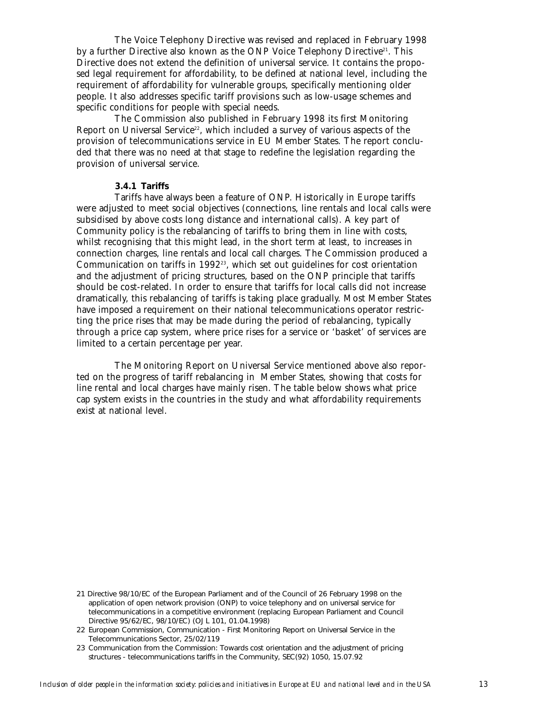The Voice Telephony Directive was revised and replaced in February 1998 by a further Directive also known as the ONP Voice Telephony Directive<sup>21</sup>. This Directive does not extend the definition of universal service. It contains the proposed legal requirement for affordability, to be defined at national level, including the requirement of affordability for vulnerable groups, specifically mentioning older people. It also addresses specific tariff provisions such as low-usage schemes and specific conditions for people with special needs.

The Commission also published in February 1998 its first Monitoring Report on Universal Service<sup>22</sup>, which included a survey of various aspects of the provision of telecommunications service in EU Member States. The report concluded that there was no need at that stage to redefine the legislation regarding the provision of universal service.

### **3.4.1 Tariffs**

Tariffs have always been a feature of ONP. Historically in Europe tariffs were adjusted to meet social objectives (connections, line rentals and local calls were subsidised by above costs long distance and international calls). A key part of Community policy is the rebalancing of tariffs to bring them in line with costs, whilst recognising that this might lead, in the short term at least, to increases in connection charges, line rentals and local call charges. The Commission produced a Communication on tariffs in 1992<sup>23</sup>, which set out guidelines for cost orientation and the adjustment of pricing structures, based on the ONP principle that tariffs should be cost-related. In order to ensure that tariffs for local calls did not increase dramatically, this rebalancing of tariffs is taking place gradually. Most Member States have imposed a requirement on their national telecommunications operator restricting the price rises that may be made during the period of rebalancing, typically through a price cap system, where price rises for a service or 'basket' of services are limited to a certain percentage per year.

The Monitoring Report on Universal Service mentioned above also reported on the progress of tariff rebalancing in Member States, showing that costs for line rental and local charges have mainly risen. The table below shows what price cap system exists in the countries in the study and what affordability requirements exist at national level.

<sup>21</sup> Directive 98/10/EC of the European Parliament and of the Council of 26 February 1998 on the application of open network provision (ONP) to voice telephony and on universal service for telecommunications in a competitive environment (replacing European Parliament and Council Directive 95/62/EC, 98/10/EC) (OJ L 101, 01.04.1998)

<sup>22</sup> European Commission, Communication - First Monitoring Report on Universal Service in the Telecommunications Sector, 25/02/119

<sup>23</sup> Communication from the Commission: Towards cost orientation and the adjustment of pricing structures - telecommunications tariffs in the Community, SEC(92) 1050, 15.07.92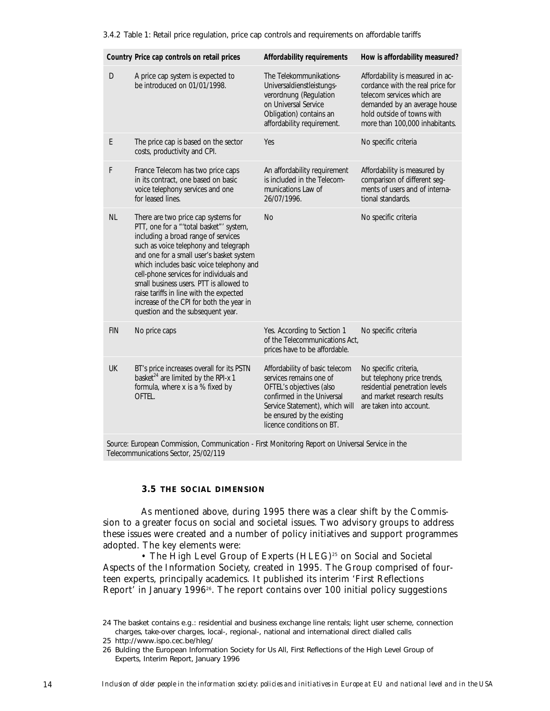3.4.2 Table 1: Retail price regulation, price cap controls and requirements on affordable tariffs

|   |            | Country Price cap controls on retail prices                                                                                                                                                                                                                                                                                                                                                                                                                              | Affordability requirements                                                                                                                                                                                       | How is affordability measured?                                                                                                                                                                     |
|---|------------|--------------------------------------------------------------------------------------------------------------------------------------------------------------------------------------------------------------------------------------------------------------------------------------------------------------------------------------------------------------------------------------------------------------------------------------------------------------------------|------------------------------------------------------------------------------------------------------------------------------------------------------------------------------------------------------------------|----------------------------------------------------------------------------------------------------------------------------------------------------------------------------------------------------|
|   | D          | A price cap system is expected to<br>be introduced on 01/01/1998.                                                                                                                                                                                                                                                                                                                                                                                                        | The Telekommunikations-<br>Universaldienstleistungs-<br>verordnung (Regulation<br>on Universal Service<br>Obligation) contains an<br>affordability requirement.                                                  | Affordability is measured in ac-<br>cordance with the real price for<br>telecom services which are<br>demanded by an average house<br>hold outside of towns with<br>more than 100,000 inhabitants. |
| E |            | The price cap is based on the sector<br>costs, productivity and CPI.                                                                                                                                                                                                                                                                                                                                                                                                     | Yes                                                                                                                                                                                                              | No specific criteria                                                                                                                                                                               |
| F |            | France Telecom has two price caps<br>in its contract, one based on basic<br>voice telephony services and one<br>for leased lines.                                                                                                                                                                                                                                                                                                                                        | An affordability requirement<br>is included in the Telecom-<br>munications Law of<br>26/07/1996.                                                                                                                 | Affordability is measured by<br>comparison of different seg-<br>ments of users and of interna-<br>tional standards.                                                                                |
|   | <b>NL</b>  | There are two price cap systems for<br>PTT, one for a "'total basket"' system,<br>including a broad range of services<br>such as voice telephony and telegraph<br>and one for a small user's basket system<br>which includes basic voice telephony and<br>cell-phone services for individuals and<br>small business users. PTT is allowed to<br>raise tariffs in line with the expected<br>increase of the CPI for both the year in<br>question and the subsequent year. | <b>No</b>                                                                                                                                                                                                        | No specific criteria                                                                                                                                                                               |
|   | <b>FIN</b> | No price caps                                                                                                                                                                                                                                                                                                                                                                                                                                                            | Yes. According to Section 1<br>of the Telecommunications Act.<br>prices have to be affordable.                                                                                                                   | No specific criteria                                                                                                                                                                               |
|   | UK         | BT's price increases overall for its PSTN<br>basket <sup>24</sup> are limited by the RPI-x 1<br>formula, where x is a % fixed by<br>OFTEL.                                                                                                                                                                                                                                                                                                                               | Affordability of basic telecom<br>services remains one of<br>OFTEL's objectives (also<br>confirmed in the Universal<br>Service Statement), which will<br>be ensured by the existing<br>licence conditions on BT. | No specific criteria,<br>but telephony price trends,<br>residential penetration levels<br>and market research results<br>are taken into account.                                                   |
|   |            | Course European Commission, Communication. First Monitoring Depart on Universal Censiae in the                                                                                                                                                                                                                                                                                                                                                                           |                                                                                                                                                                                                                  |                                                                                                                                                                                                    |

Source: European Commission, Communication - First Monitoring Report on Universal Service in the Telecommunications Sector, 25/02/119

# **3.5 THE SOCIAL DIMENSION**

As mentioned above, during 1995 there was a clear shift by the Commission to a greater focus on social and societal issues. Two advisory groups to address these issues were created and a number of policy initiatives and support programmes adopted. The key elements were:

• The High Level Group of Experts (HLEG)<sup>25</sup> on Social and Societal Aspects of the Information Society, created in 1995. The Group comprised of fourteen experts, principally academics. It published its interim 'First Reflections Report' in January 199626. The report contains over 100 initial policy suggestions

<sup>24</sup> The basket contains e.g.: residential and business exchange line rentals; light user scheme, connection charges, take-over charges, local-, regional-, national and international direct dialled calls

<sup>25</sup> http://www.ispo.cec.be/hleg/

<sup>26</sup> Bulding the European Information Society for Us All, First Reflections of the High Level Group of Experts, Interim Report, January 1996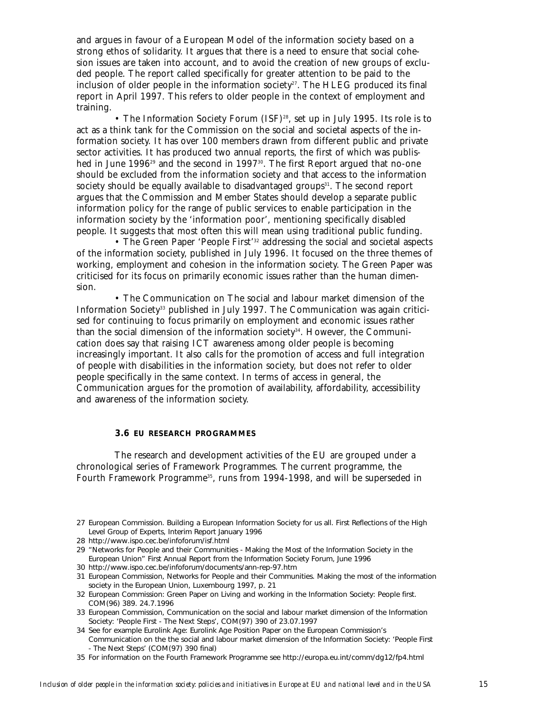and argues in favour of a European Model of the information society based on a strong ethos of solidarity. It argues that there is a need to ensure that social cohesion issues are taken into account, and to avoid the creation of new groups of excluded people. The report called specifically for greater attention to be paid to the inclusion of older people in the information society<sup>27</sup>. The HLEG produced its final report in April 1997. This refers to older people in the context of employment and training.

• The Information Society Forum (ISF)<sup>28</sup>, set up in July 1995. Its role is to act as a think tank for the Commission on the social and societal aspects of the information society. It has over 100 members drawn from different public and private sector activities. It has produced two annual reports, the first of which was published in June 1996<sup>29</sup> and the second in 1997<sup>30</sup>. The first Report argued that no-one should be excluded from the information society and that access to the information society should be equally available to disadvantaged groups $31$ . The second report argues that the Commission and Member States should develop a separate public information policy for the range of public services to enable participation in the information society by the 'information poor', mentioning specifically disabled people. It suggests that most often this will mean using traditional public funding.

• The Green Paper 'People First'<sup>32</sup> addressing the social and societal aspects of the information society, published in July 1996. It focused on the three themes of working, employment and cohesion in the information society. The Green Paper was criticised for its focus on primarily economic issues rather than the human dimension.

• The Communication on The social and labour market dimension of the Information Society33 published in July 1997. The Communication was again criticised for continuing to focus primarily on employment and economic issues rather than the social dimension of the information society<sup>34</sup>. However, the Communication does say that raising ICT awareness among older people is becoming increasingly important. It also calls for the promotion of access and full integration of people with disabilities in the information society, but does not refer to older people specifically in the same context. In terms of access in general, the Communication argues for the promotion of availability, affordability, accessibility and awareness of the information society.

#### **3.6 EU RESEARCH PROGRAMMES**

The research and development activities of the EU are grouped under a chronological series of Framework Programmes. The current programme, the Fourth Framework Programme<sup>35</sup>, runs from 1994-1998, and will be superseded in

- 32 European Commission: Green Paper on Living and working in the Information Society: People first. COM(96) 389. 24.7.1996
- 33 European Commission, Communication on the social and labour market dimension of the Information Society: 'People First - The Next Steps', COM(97) 390 of 23.07.1997

<sup>27</sup> European Commission. Building a European Information Society for us all. First Reflections of the High Level Group of Experts, Interim Report January 1996

<sup>28</sup> http://www.ispo.cec.be/infoforum/isf.html

<sup>29 &</sup>quot;Networks for People and their Communities - Making the Most of the Information Society in the European Union" First Annual Report from the Information Society Forum, June 1996

<sup>30</sup> http://www.ispo.cec.be/infoforum/documents/ann-rep-97.htm

<sup>31</sup> European Commission, Networks for People and their Communities. Making the most of the information society in the European Union, Luxembourg 1997, p. 21

<sup>34</sup> See for example Eurolink Age: Eurolink Age Position Paper on the European Commission's Communication on the the social and labour market dimension of the Information Society: 'People First - The Next Steps' (COM(97) 390 final)

<sup>35</sup> For information on the Fourth Framework Programme see http://europa.eu.int/comm/dg12/fp4.html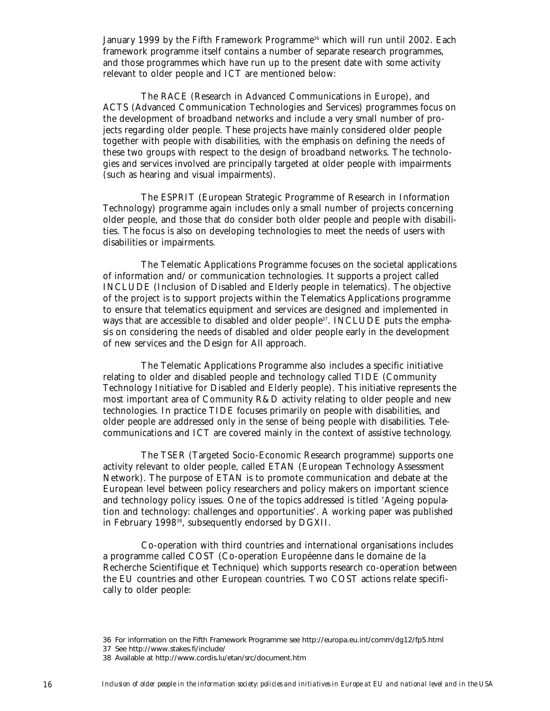January 1999 by the Fifth Framework Programme<sup>36</sup> which will run until 2002. Each framework programme itself contains a number of separate research programmes, and those programmes which have run up to the present date with some activity relevant to older people and ICT are mentioned below:

The RACE (Research in Advanced Communications in Europe), and ACTS (Advanced Communication Technologies and Services) programmes focus on the development of broadband networks and include a very small number of projects regarding older people. These projects have mainly considered older people together with people with disabilities, with the emphasis on defining the needs of these two groups with respect to the design of broadband networks. The technologies and services involved are principally targeted at older people with impairments (such as hearing and visual impairments).

The ESPRIT (European Strategic Programme of Research in Information Technology) programme again includes only a small number of projects concerning older people, and those that do consider both older people and people with disabilities. The focus is also on developing technologies to meet the needs of users with disabilities or impairments.

The Telematic Applications Programme focuses on the societal applications of information and/or communication technologies. It supports a project called INCLUDE (Inclusion of Disabled and Elderly people in telematics). The objective of the project is to support projects within the Telematics Applications programme to ensure that telematics equipment and services are designed and implemented in ways that are accessible to disabled and older people<sup>37</sup>. INCLUDE puts the emphasis on considering the needs of disabled and older people early in the development of new services and the Design for All approach.

The Telematic Applications Programme also includes a specific initiative relating to older and disabled people and technology called TIDE (Community Technology Initiative for Disabled and Elderly people). This initiative represents the most important area of Community R&D activity relating to older people and new technologies. In practice TIDE focuses primarily on people with disabilities, and older people are addressed only in the sense of being people with disabilities. Telecommunications and ICT are covered mainly in the context of assistive technology.

The TSER (Targeted Socio-Economic Research programme) supports one activity relevant to older people, called ETAN (European Technology Assessment Network). The purpose of ETAN is to promote communication and debate at the European level between policy researchers and policy makers on important science and technology policy issues. One of the topics addressed is titled 'Ageing population and technology: challenges and opportunities'. A working paper was published in February 1998<sup>38</sup>, subsequently endorsed by DGXII.

Co-operation with third countries and international organisations includes a programme called COST (Co-operation Européenne dans le domaine de la Recherche Scientifique et Technique) which supports research co-operation between the EU countries and other European countries. Two COST actions relate specifically to older people:

<sup>36</sup> For information on the Fifth Framework Programme see http://europa.eu.int/comm/dg12/fp5.html

<sup>37</sup> See http://www.stakes.fi/include/

<sup>38</sup> Available at http://www.cordis.lu/etan/src/document.htm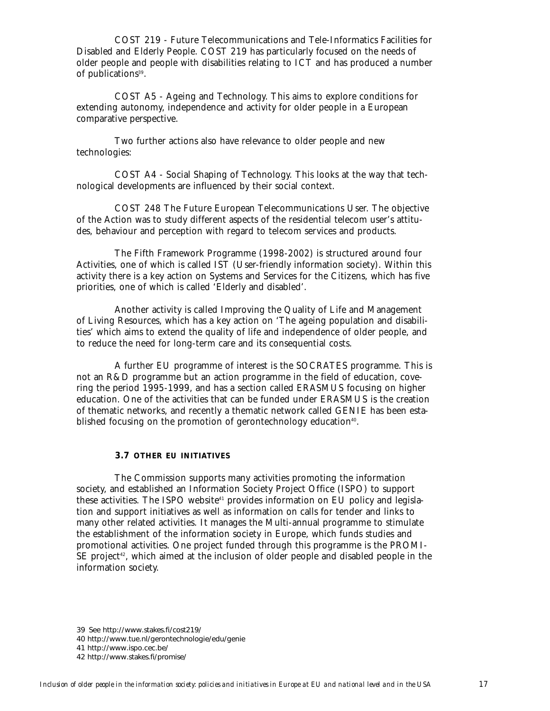COST 219 - Future Telecommunications and Tele-Informatics Facilities for Disabled and Elderly People. COST 219 has particularly focused on the needs of older people and people with disabilities relating to ICT and has produced a number of publications<sup>39</sup>.

COST A5 - Ageing and Technology. This aims to explore conditions for extending autonomy, independence and activity for older people in a European comparative perspective.

Two further actions also have relevance to older people and new technologies:

COST A4 - Social Shaping of Technology. This looks at the way that technological developments are influenced by their social context.

COST 248 The Future European Telecommunications User. The objective of the Action was to study different aspects of the residential telecom user's attitudes, behaviour and perception with regard to telecom services and products.

The Fifth Framework Programme (1998-2002) is structured around four Activities, one of which is called IST (User-friendly information society). Within this activity there is a key action on Systems and Services for the Citizens, which has five priorities, one of which is called 'Elderly and disabled'.

Another activity is called Improving the Quality of Life and Management of Living Resources, which has a key action on 'The ageing population and disabilities' which aims to extend the quality of life and independence of older people, and to reduce the need for long-term care and its consequential costs.

A further EU programme of interest is the SOCRATES programme. This is not an R&D programme but an action programme in the field of education, covering the period 1995-1999, and has a section called ERASMUS focusing on higher education. One of the activities that can be funded under ERASMUS is the creation of thematic networks, and recently a thematic network called GENIE has been established focusing on the promotion of gerontechnology education<sup>40</sup>.

# **3.7 OTHER EU INITIATIVES**

The Commission supports many activities promoting the information society, and established an Information Society Project Office (ISPO) to support these activities. The ISPO website<sup>41</sup> provides information on EU policy and legislation and support initiatives as well as information on calls for tender and links to many other related activities. It manages the Multi-annual programme to stimulate the establishment of the information society in Europe, which funds studies and promotional activities. One project funded through this programme is the PROMI- $SE$  project<sup>42</sup>, which aimed at the inclusion of older people and disabled people in the information society.

39 See http://www.stakes.fi/cost219/ 40 http://www.tue.nl/gerontechnologie/edu/genie 41 http://www.ispo.cec.be/ 42 http://www.stakes.fi/promise/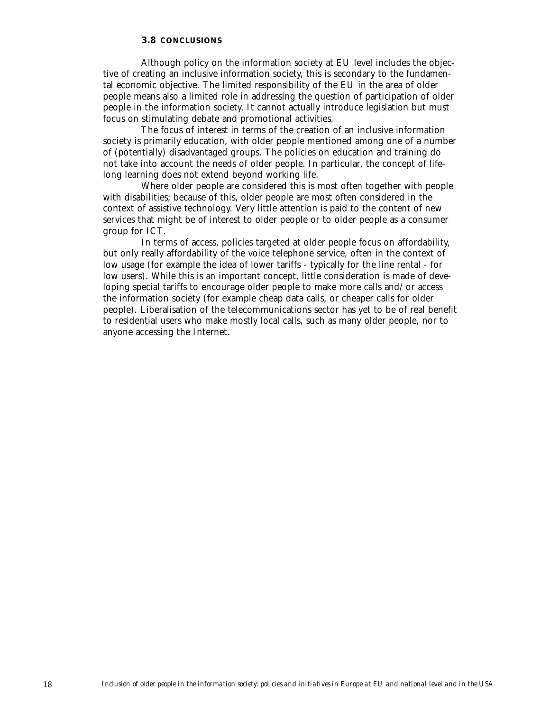# **3.8 CONCLUSIONS**

Although policy on the information society at EU level includes the objective of creating an inclusive information society, this is secondary to the fundamental economic objective. The limited responsibility of the EU in the area of older people means also a limited role in addressing the question of participation of older people in the information society. It cannot actually introduce legislation but must focus on stimulating debate and promotional activities.

The focus of interest in terms of the creation of an inclusive information society is primarily education, with older people mentioned among one of a number of (potentially) disadvantaged groups. The policies on education and training do not take into account the needs of older people. In particular, the concept of lifelong learning does not extend beyond working life.

Where older people are considered this is most often together with people with disabilities; because of this, older people are most often considered in the context of assistive technology. Very little attention is paid to the content of new services that might be of interest to older people or to older people as a consumer group for ICT.

In terms of access, policies targeted at older people focus on affordability, but only really affordability of the voice telephone service, often in the context of low usage (for example the idea of lower tariffs - typically for the line rental - for low users). While this is an important concept, little consideration is made of developing special tariffs to encourage older people to make more calls and/or access the information society (for example cheap data calls, or cheaper calls for older people). Liberalisation of the telecommunications sector has yet to be of real benefit to residential users who make mostly local calls, such as many older people, nor to anyone accessing the Internet.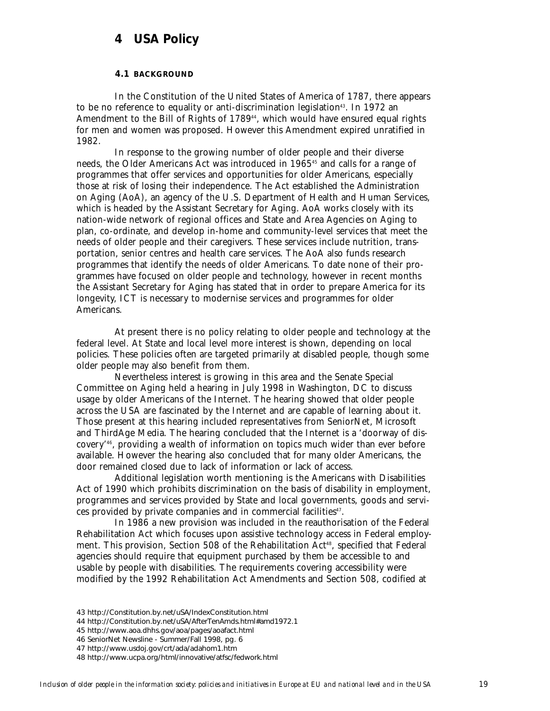# **4 USA Policy**

# **4.1 BACKGROUND**

In the Constitution of the United States of America of 1787, there appears to be no reference to equality or anti-discrimination legislation<sup>43</sup>. In 1972 an Amendment to the Bill of Rights of 1789<sup>44</sup>, which would have ensured equal rights for men and women was proposed. However this Amendment expired unratified in 1982.

In response to the growing number of older people and their diverse needs, the Older Americans Act was introduced in 1965<sup>45</sup> and calls for a range of programmes that offer services and opportunities for older Americans, especially those at risk of losing their independence. The Act established the Administration on Aging (AoA), an agency of the U.S. Department of Health and Human Services, which is headed by the Assistant Secretary for Aging. AoA works closely with its nation-wide network of regional offices and State and Area Agencies on Aging to plan, co-ordinate, and develop in-home and community-level services that meet the needs of older people and their caregivers. These services include nutrition, transportation, senior centres and health care services. The AoA also funds research programmes that identify the needs of older Americans. To date none of their programmes have focused on older people and technology, however in recent months the Assistant Secretary for Aging has stated that in order to prepare America for its longevity, ICT is necessary to modernise services and programmes for older Americans.

At present there is no policy relating to older people and technology at the federal level. At State and local level more interest is shown, depending on local policies. These policies often are targeted primarily at disabled people, though some older people may also benefit from them.

Nevertheless interest is growing in this area and the Senate Special Committee on Aging held a hearing in July 1998 in Washington, DC to discuss usage by older Americans of the Internet. The hearing showed that older people across the USA are fascinated by the Internet and are capable of learning about it. Those present at this hearing included representatives from SeniorNet, Microsoft and ThirdAge Media. The hearing concluded that the Internet is a 'doorway of discovery'46, providing a wealth of information on topics much wider than ever before available. However the hearing also concluded that for many older Americans, the door remained closed due to lack of information or lack of access.

Additional legislation worth mentioning is the Americans with Disabilities Act of 1990 which prohibits discrimination on the basis of disability in employment, programmes and services provided by State and local governments, goods and services provided by private companies and in commercial facilities<sup>47</sup>.

In 1986 a new provision was included in the reauthorisation of the Federal Rehabilitation Act which focuses upon assistive technology access in Federal employment. This provision, Section 508 of the Rehabilitation Act<sup>48</sup>, specified that Federal agencies should require that equipment purchased by them be accessible to and usable by people with disabilities. The requirements covering accessibility were modified by the 1992 Rehabilitation Act Amendments and Section 508, codified at

45 http://www.aoa.dhhs.gov/aoa/pages/aoafact.html

<sup>43</sup> http://Constitution.by.net/uSA/IndexConstitution.html

<sup>44</sup> http://Constitution.by.net/uSA/AfterTenAmds.html#amd1972.1

<sup>46</sup> SeniorNet Newsline - Summer/Fall 1998, pg. 6

<sup>47</sup> http://www.usdoj.gov/crt/ada/adahom1.htm

<sup>48</sup> http://www.ucpa.org/html/innovative/atfsc/fedwork.html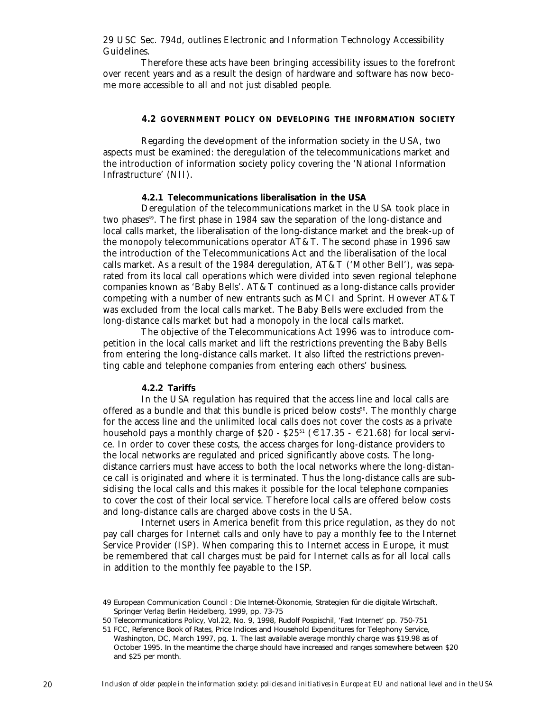29 USC Sec. 794d, outlines Electronic and Information Technology Accessibility Guidelines.

Therefore these acts have been bringing accessibility issues to the forefront over recent years and as a result the design of hardware and software has now become more accessible to all and not just disabled people.

# **4.2 GOVERNMENT POLICY ON DEVELOPING THE INFORMATION SOCIETY**

Regarding the development of the information society in the USA, two aspects must be examined: the deregulation of the telecommunications market and the introduction of information society policy covering the 'National Information Infrastructure' (NII).

# **4.2.1 Telecommunications liberalisation in the USA**

Deregulation of the telecommunications market in the USA took place in two phases<sup>49</sup>. The first phase in 1984 saw the separation of the long-distance and local calls market, the liberalisation of the long-distance market and the break-up of the monopoly telecommunications operator AT&T. The second phase in 1996 saw the introduction of the Telecommunications Act and the liberalisation of the local calls market. As a result of the 1984 deregulation, AT&T ('Mother Bell'), was separated from its local call operations which were divided into seven regional telephone companies known as 'Baby Bells'. AT&T continued as a long-distance calls provider competing with a number of new entrants such as MCI and Sprint. However AT&T was excluded from the local calls market. The Baby Bells were excluded from the long-distance calls market but had a monopoly in the local calls market.

The objective of the Telecommunications Act 1996 was to introduce competition in the local calls market and lift the restrictions preventing the Baby Bells from entering the long-distance calls market. It also lifted the restrictions preventing cable and telephone companies from entering each others' business.

# **4.2.2 Tariffs**

In the USA regulation has required that the access line and local calls are offered as a bundle and that this bundle is priced below costs<sup>50</sup>. The monthly charge for the access line and the unlimited local calls does not cover the costs as a private household pays a monthly charge of  $$20 - $25^{51} \ (\in 17.35 - $21.68)$  for local service. In order to cover these costs, the access charges for long-distance providers to the local networks are regulated and priced significantly above costs. The longdistance carriers must have access to both the local networks where the long-distance call is originated and where it is terminated. Thus the long-distance calls are subsidising the local calls and this makes it possible for the local telephone companies to cover the cost of their local service. Therefore local calls are offered below costs and long-distance calls are charged above costs in the USA.

Internet users in America benefit from this price regulation, as they do not pay call charges for Internet calls and only have to pay a monthly fee to the Internet Service Provider (ISP). When comparing this to Internet access in Europe, it must be remembered that call charges must be paid for Internet calls as for all local calls in addition to the monthly fee payable to the ISP.

<sup>49</sup> European Communication Council : Die Internet-Ökonomie, Strategien für die digitale Wirtschaft, Springer Verlag Berlin Heidelberg, 1999, pp. 73-75

<sup>50</sup> Telecommunications Policy, Vol.22, No. 9, 1998, Rudolf Pospischil, 'Fast Internet' pp. 750-751

<sup>51</sup> FCC, Reference Book of Rates, Price Indices and Household Expenditures for Telephony Service, Washington, DC, March 1997, pg. 1. The last available average monthly charge was \$19.98 as of October 1995. In the meantime the charge should have increased and ranges somewhere between \$20 and \$25 per month.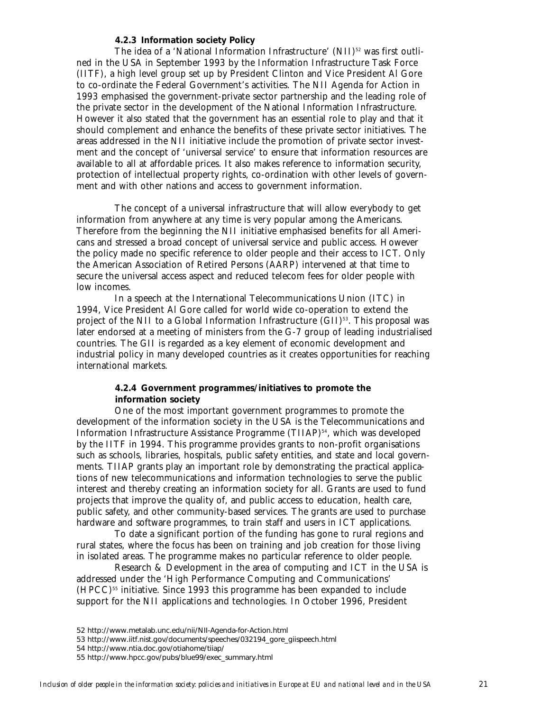#### **4.2.3 Information society Policy**

The idea of a 'National Information Infrastructure' (NII)<sup>52</sup> was first outlined in the USA in September 1993 by the Information Infrastructure Task Force (IITF), a high level group set up by President Clinton and Vice President Al Gore to co-ordinate the Federal Government's activities. The NII Agenda for Action in 1993 emphasised the government-private sector partnership and the leading role of the private sector in the development of the National Information Infrastructure. However it also stated that the government has an essential role to play and that it should complement and enhance the benefits of these private sector initiatives. The areas addressed in the NII initiative include the promotion of private sector investment and the concept of 'universal service' to ensure that information resources are available to all at affordable prices. It also makes reference to information security, protection of intellectual property rights, co-ordination with other levels of government and with other nations and access to government information.

The concept of a universal infrastructure that will allow everybody to get information from anywhere at any time is very popular among the Americans. Therefore from the beginning the NII initiative emphasised benefits for all Americans and stressed a broad concept of universal service and public access. However the policy made no specific reference to older people and their access to ICT. Only the American Association of Retired Persons (AARP) intervened at that time to secure the universal access aspect and reduced telecom fees for older people with low incomes.

In a speech at the International Telecommunications Union (ITC) in 1994, Vice President Al Gore called for world wide co-operation to extend the project of the NII to a Global Information Infrastructure (GII)<sup>53</sup>. This proposal was later endorsed at a meeting of ministers from the G-7 group of leading industrialised countries. The GII is regarded as a key element of economic development and industrial policy in many developed countries as it creates opportunities for reaching international markets.

# **4.2.4 Government programmes/initiatives to promote the information society**

One of the most important government programmes to promote the development of the information society in the USA is the Telecommunications and Information Infrastructure Assistance Programme (TIIAP)<sup>54</sup>, which was developed by the IITF in 1994. This programme provides grants to non-profit organisations such as schools, libraries, hospitals, public safety entities, and state and local governments. TIIAP grants play an important role by demonstrating the practical applications of new telecommunications and information technologies to serve the public interest and thereby creating an information society for all. Grants are used to fund projects that improve the quality of, and public access to education, health care, public safety, and other community-based services. The grants are used to purchase hardware and software programmes, to train staff and users in ICT applications.

To date a significant portion of the funding has gone to rural regions and rural states, where the focus has been on training and job creation for those living in isolated areas. The programme makes no particular reference to older people.

Research & Development in the area of computing and ICT in the USA is addressed under the 'High Performance Computing and Communications'  $(HPCC)$ <sup>55</sup> initiative. Since 1993 this programme has been expanded to include support for the NII applications and technologies. In October 1996, President

<sup>52</sup> http://www.metalab.unc.edu/nii/NII-Agenda-for-Action.html

<sup>53</sup> http://www.iitf.nist.gov/documents/speeches/032194\_gore\_giispeech.html

<sup>54</sup> http://www.ntia.doc.gov/otiahome/tiiap/

<sup>55</sup> http://www.hpcc.gov/pubs/blue99/exec\_summary.html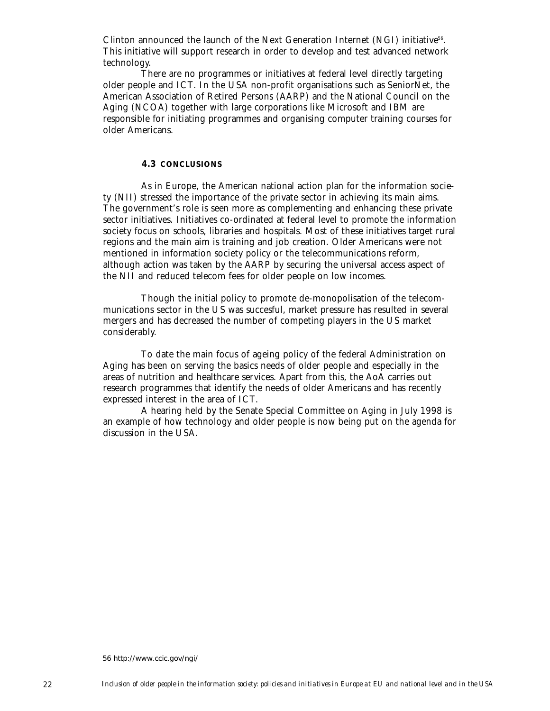Clinton announced the launch of the Next Generation Internet (NGI) initiative<sup>56</sup>. This initiative will support research in order to develop and test advanced network technology.

There are no programmes or initiatives at federal level directly targeting older people and ICT. In the USA non-profit organisations such as SeniorNet, the American Association of Retired Persons (AARP) and the National Council on the Aging (NCOA) together with large corporations like Microsoft and IBM are responsible for initiating programmes and organising computer training courses for older Americans.

# **4.3 CONCLUSIONS**

As in Europe, the American national action plan for the information society (NII) stressed the importance of the private sector in achieving its main aims. The government's role is seen more as complementing and enhancing these private sector initiatives. Initiatives co-ordinated at federal level to promote the information society focus on schools, libraries and hospitals. Most of these initiatives target rural regions and the main aim is training and job creation. Older Americans were not mentioned in information society policy or the telecommunications reform, although action was taken by the AARP by securing the universal access aspect of the NII and reduced telecom fees for older people on low incomes.

Though the initial policy to promote de-monopolisation of the telecommunications sector in the US was succesful, market pressure has resulted in several mergers and has decreased the number of competing players in the US market considerably.

To date the main focus of ageing policy of the federal Administration on Aging has been on serving the basics needs of older people and especially in the areas of nutrition and healthcare services. Apart from this, the AoA carries out research programmes that identify the needs of older Americans and has recently expressed interest in the area of ICT.

A hearing held by the Senate Special Committee on Aging in July 1998 is an example of how technology and older people is now being put on the agenda for discussion in the USA.

56 http://www.ccic.gov/ngi/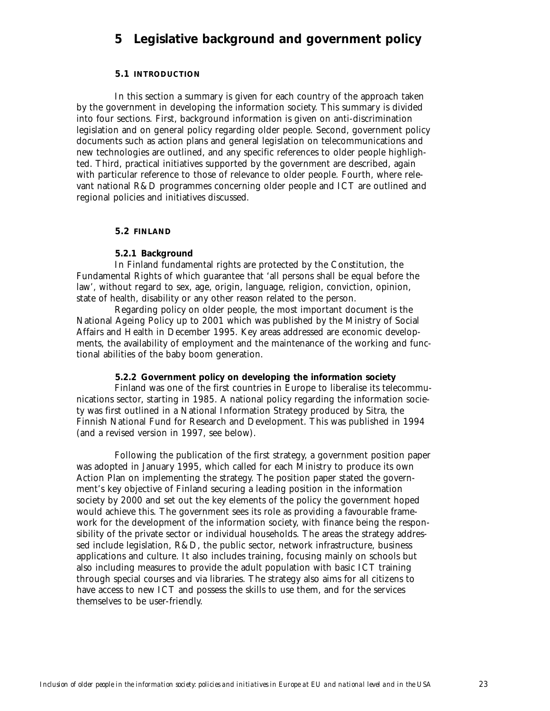# **5 Legislative background and government policy**

# **5.1 INTRODUCTION**

In this section a summary is given for each country of the approach taken by the government in developing the information society. This summary is divided into four sections. First, background information is given on anti-discrimination legislation and on general policy regarding older people. Second, government policy documents such as action plans and general legislation on telecommunications and new technologies are outlined, and any specific references to older people highlighted. Third, practical initiatives supported by the government are described, again with particular reference to those of relevance to older people. Fourth, where relevant national R&D programmes concerning older people and ICT are outlined and regional policies and initiatives discussed.

# **5.2 FINLAND**

# **5.2.1 Background**

In Finland fundamental rights are protected by the Constitution, the Fundamental Rights of which guarantee that 'all persons shall be equal before the law', without regard to sex, age, origin, language, religion, conviction, opinion, state of health, disability or any other reason related to the person.

Regarding policy on older people, the most important document is the National Ageing Policy up to 2001 which was published by the Ministry of Social Affairs and Health in December 1995. Key areas addressed are economic developments, the availability of employment and the maintenance of the working and functional abilities of the baby boom generation.

# **5.2.2 Government policy on developing the information society**

Finland was one of the first countries in Europe to liberalise its telecommunications sector, starting in 1985. A national policy regarding the information society was first outlined in a National Information Strategy produced by Sitra, the Finnish National Fund for Research and Development. This was published in 1994 (and a revised version in 1997, see below).

Following the publication of the first strategy, a government position paper was adopted in January 1995, which called for each Ministry to produce its own Action Plan on implementing the strategy. The position paper stated the government's key objective of Finland securing a leading position in the information society by 2000 and set out the key elements of the policy the government hoped would achieve this. The government sees its role as providing a favourable framework for the development of the information society, with finance being the responsibility of the private sector or individual households. The areas the strategy addressed include legislation, R&D, the public sector, network infrastructure, business applications and culture. It also includes training, focusing mainly on schools but also including measures to provide the adult population with basic ICT training through special courses and via libraries. The strategy also aims for all citizens to have access to new ICT and possess the skills to use them, and for the services themselves to be user-friendly.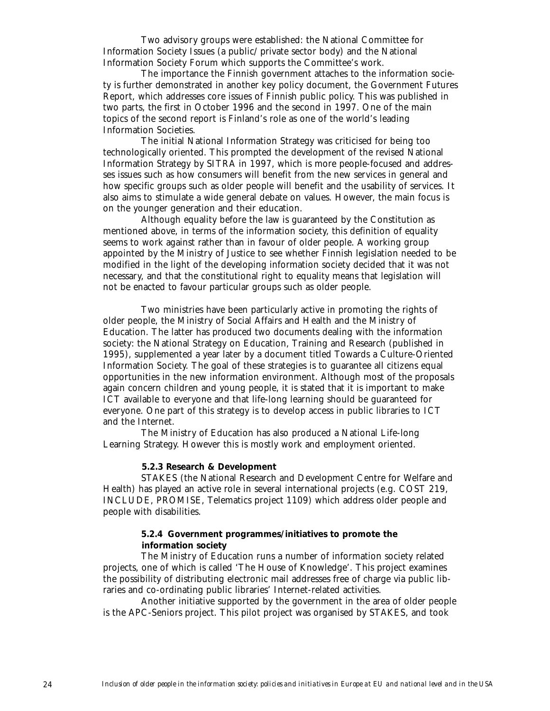Two advisory groups were established: the National Committee for Information Society Issues (a public/private sector body) and the National Information Society Forum which supports the Committee's work.

The importance the Finnish government attaches to the information society is further demonstrated in another key policy document, the Government Futures Report, which addresses core issues of Finnish public policy. This was published in two parts, the first in October 1996 and the second in 1997. One of the main topics of the second report is Finland's role as one of the world's leading Information Societies.

The initial National Information Strategy was criticised for being too technologically oriented. This prompted the development of the revised National Information Strategy by SITRA in 1997, which is more people-focused and addresses issues such as how consumers will benefit from the new services in general and how specific groups such as older people will benefit and the usability of services. It also aims to stimulate a wide general debate on values. However, the main focus is on the younger generation and their education.

Although equality before the law is guaranteed by the Constitution as mentioned above, in terms of the information society, this definition of equality seems to work against rather than in favour of older people. A working group appointed by the Ministry of Justice to see whether Finnish legislation needed to be modified in the light of the developing information society decided that it was not necessary, and that the constitutional right to equality means that legislation will not be enacted to favour particular groups such as older people.

Two ministries have been particularly active in promoting the rights of older people, the Ministry of Social Affairs and Health and the Ministry of Education. The latter has produced two documents dealing with the information society: the National Strategy on Education, Training and Research (published in 1995), supplemented a year later by a document titled Towards a Culture-Oriented Information Society. The goal of these strategies is to guarantee all citizens equal opportunities in the new information environment. Although most of the proposals again concern children and young people, it is stated that it is important to make ICT available to everyone and that life-long learning should be guaranteed for everyone. One part of this strategy is to develop access in public libraries to ICT and the Internet.

The Ministry of Education has also produced a National Life-long Learning Strategy. However this is mostly work and employment oriented.

# **5.2.3 Research & Development**

STAKES (the National Research and Development Centre for Welfare and Health) has played an active role in several international projects (e.g. COST 219, INCLUDE, PROMISE, Telematics project 1109) which address older people and people with disabilities.

# **5.2.4 Government programmes/initiatives to promote the information society**

The Ministry of Education runs a number of information society related projects, one of which is called 'The House of Knowledge'. This project examines the possibility of distributing electronic mail addresses free of charge via public libraries and co-ordinating public libraries' Internet-related activities.

Another initiative supported by the government in the area of older people is the APC-Seniors project. This pilot project was organised by STAKES, and took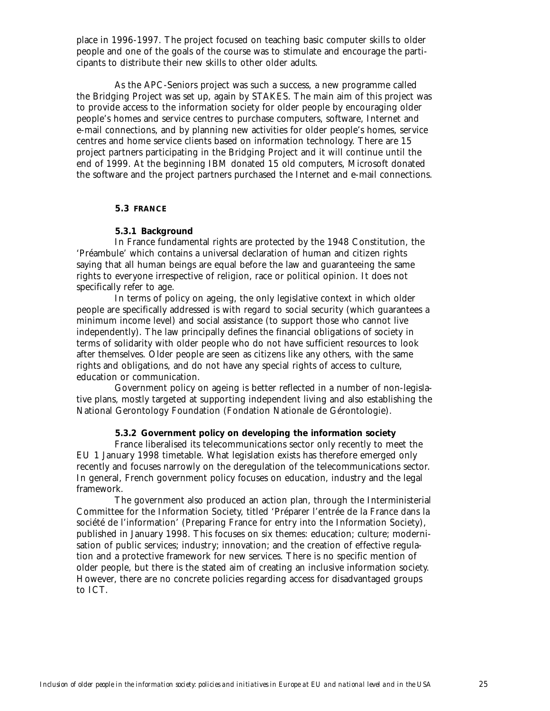place in 1996-1997. The project focused on teaching basic computer skills to older people and one of the goals of the course was to stimulate and encourage the participants to distribute their new skills to other older adults.

As the APC-Seniors project was such a success, a new programme called the Bridging Project was set up, again by STAKES. The main aim of this project was to provide access to the information society for older people by encouraging older people's homes and service centres to purchase computers, software, Internet and e-mail connections, and by planning new activities for older people's homes, service centres and home service clients based on information technology. There are 15 project partners participating in the Bridging Project and it will continue until the end of 1999. At the beginning IBM donated 15 old computers, Microsoft donated the software and the project partners purchased the Internet and e-mail connections.

# **5.3 FRANCE**

### **5.3.1 Background**

In France fundamental rights are protected by the 1948 Constitution, the 'Préambule' which contains a universal declaration of human and citizen rights saying that all human beings are equal before the law and guaranteeing the same rights to everyone irrespective of religion, race or political opinion. It does not specifically refer to age.

In terms of policy on ageing, the only legislative context in which older people are specifically addressed is with regard to social security (which guarantees a minimum income level) and social assistance (to support those who cannot live independently). The law principally defines the financial obligations of society in terms of solidarity with older people who do not have sufficient resources to look after themselves. Older people are seen as citizens like any others, with the same rights and obligations, and do not have any special rights of access to culture, education or communication.

Government policy on ageing is better reflected in a number of non-legislative plans, mostly targeted at supporting independent living and also establishing the National Gerontology Foundation (Fondation Nationale de Gérontologie).

# **5.3.2 Government policy on developing the information society**

France liberalised its telecommunications sector only recently to meet the EU 1 January 1998 timetable. What legislation exists has therefore emerged only recently and focuses narrowly on the deregulation of the telecommunications sector. In general, French government policy focuses on education, industry and the legal framework.

The government also produced an action plan, through the Interministerial Committee for the Information Society, titled 'Préparer l'entrée de la France dans la société de l'information' (Preparing France for entry into the Information Society), published in January 1998. This focuses on six themes: education; culture; modernisation of public services; industry; innovation; and the creation of effective regulation and a protective framework for new services. There is no specific mention of older people, but there is the stated aim of creating an inclusive information society. However, there are no concrete policies regarding access for disadvantaged groups to ICT.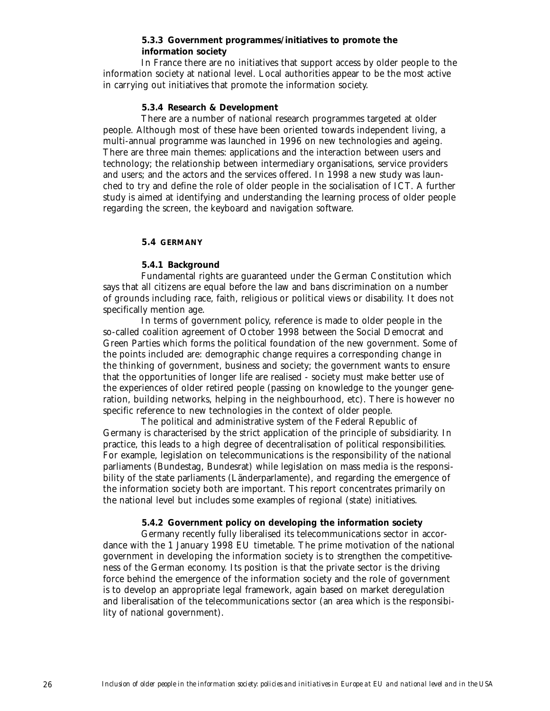# **5.3.3 Government programmes/initiatives to promote the information society**

In France there are no initiatives that support access by older people to the information society at national level. Local authorities appear to be the most active in carrying out initiatives that promote the information society.

### **5.3.4 Research & Development**

There are a number of national research programmes targeted at older people. Although most of these have been oriented towards independent living, a multi-annual programme was launched in 1996 on new technologies and ageing. There are three main themes: applications and the interaction between users and technology; the relationship between intermediary organisations, service providers and users; and the actors and the services offered. In 1998 a new study was launched to try and define the role of older people in the socialisation of ICT. A further study is aimed at identifying and understanding the learning process of older people regarding the screen, the keyboard and navigation software.

# **5.4 GERMANY**

# **5.4.1 Background**

Fundamental rights are guaranteed under the German Constitution which says that all citizens are equal before the law and bans discrimination on a number of grounds including race, faith, religious or political views or disability. It does not specifically mention age.

In terms of government policy, reference is made to older people in the so-called coalition agreement of October 1998 between the Social Democrat and Green Parties which forms the political foundation of the new government. Some of the points included are: demographic change requires a corresponding change in the thinking of government, business and society; the government wants to ensure that the opportunities of longer life are realised - society must make better use of the experiences of older retired people (passing on knowledge to the younger generation, building networks, helping in the neighbourhood, etc). There is however no specific reference to new technologies in the context of older people.

The political and administrative system of the Federal Republic of Germany is characterised by the strict application of the principle of subsidiarity. In practice, this leads to a high degree of decentralisation of political responsibilities. For example, legislation on telecommunications is the responsibility of the national parliaments (Bundestag, Bundesrat) while legislation on mass media is the responsibility of the state parliaments (Länderparlamente), and regarding the emergence of the information society both are important. This report concentrates primarily on the national level but includes some examples of regional (state) initiatives.

### **5.4.2 Government policy on developing the information society**

Germany recently fully liberalised its telecommunications sector in accordance with the 1 January 1998 EU timetable. The prime motivation of the national government in developing the information society is to strengthen the competitiveness of the German economy. Its position is that the private sector is the driving force behind the emergence of the information society and the role of government is to develop an appropriate legal framework, again based on market deregulation and liberalisation of the telecommunications sector (an area which is the responsibility of national government).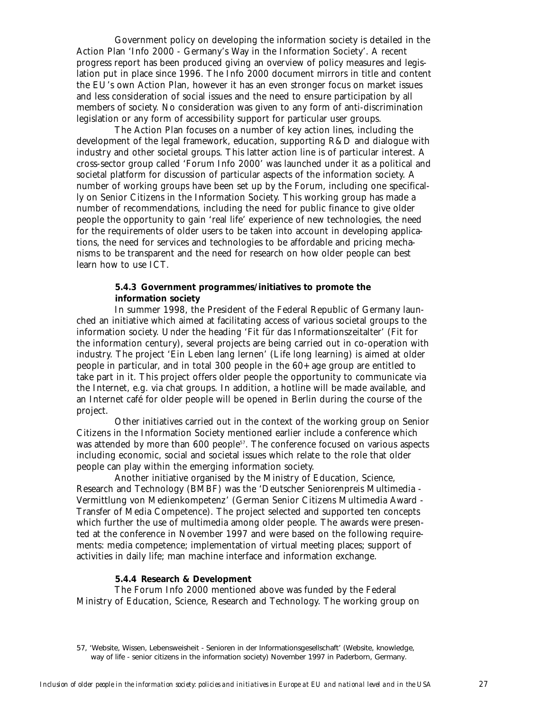Government policy on developing the information society is detailed in the Action Plan 'Info 2000 - Germany's Way in the Information Society'. A recent progress report has been produced giving an overview of policy measures and legislation put in place since 1996. The Info 2000 document mirrors in title and content the EU's own Action Plan, however it has an even stronger focus on market issues and less consideration of social issues and the need to ensure participation by all members of society. No consideration was given to any form of anti-discrimination legislation or any form of accessibility support for particular user groups.

The Action Plan focuses on a number of key action lines, including the development of the legal framework, education, supporting R&D and dialogue with industry and other societal groups. This latter action line is of particular interest. A cross-sector group called 'Forum Info 2000' was launched under it as a political and societal platform for discussion of particular aspects of the information society. A number of working groups have been set up by the Forum, including one specifically on Senior Citizens in the Information Society. This working group has made a number of recommendations, including the need for public finance to give older people the opportunity to gain 'real life' experience of new technologies, the need for the requirements of older users to be taken into account in developing applications, the need for services and technologies to be affordable and pricing mechanisms to be transparent and the need for research on how older people can best learn how to use ICT.

# **5.4.3 Government programmes/initiatives to promote the information society**

In summer 1998, the President of the Federal Republic of Germany launched an initiative which aimed at facilitating access of various societal groups to the information society. Under the heading 'Fit für das Informationszeitalter' (Fit for the information century), several projects are being carried out in co-operation with industry. The project 'Ein Leben lang lernen' (Life long learning) is aimed at older people in particular, and in total 300 people in the 60+ age group are entitled to take part in it. This project offers older people the opportunity to communicate via the Internet, e.g. via chat groups. In addition, a hotline will be made available, and an Internet café for older people will be opened in Berlin during the course of the project.

Other initiatives carried out in the context of the working group on Senior Citizens in the Information Society mentioned earlier include a conference which was attended by more than 600 people<sup>57</sup>. The conference focused on various aspects including economic, social and societal issues which relate to the role that older people can play within the emerging information society.

Another initiative organised by the Ministry of Education, Science, Research and Technology (BMBF) was the 'Deutscher Seniorenpreis Multimedia - Vermittlung von Medienkompetenz' (German Senior Citizens Multimedia Award - Transfer of Media Competence). The project selected and supported ten concepts which further the use of multimedia among older people. The awards were presented at the conference in November 1997 and were based on the following requirements: media competence; implementation of virtual meeting places; support of activities in daily life; man machine interface and information exchange.

# **5.4.4 Research & Development**

The Forum Info 2000 mentioned above was funded by the Federal Ministry of Education, Science, Research and Technology. The working group on

<sup>57, &#</sup>x27;Website, Wissen, Lebensweisheit - Senioren in der Informationsgesellschaft' (Website, knowledge, way of life - senior citizens in the information society) November 1997 in Paderborn, Germany.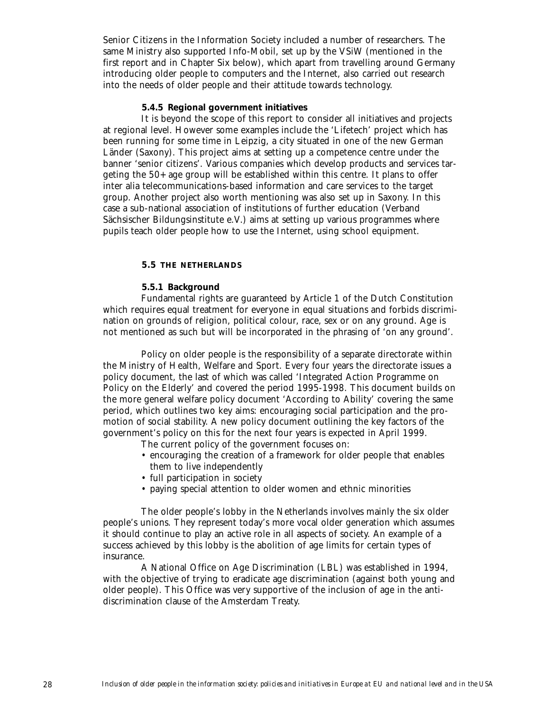Senior Citizens in the Information Society included a number of researchers. The same Ministry also supported Info-Mobil, set up by the VSiW (mentioned in the first report and in Chapter Six below), which apart from travelling around Germany introducing older people to computers and the Internet, also carried out research into the needs of older people and their attitude towards technology.

# **5.4.5 Regional government initiatives**

It is beyond the scope of this report to consider all initiatives and projects at regional level. However some examples include the 'Lifetech' project which has been running for some time in Leipzig, a city situated in one of the new German Länder (Saxony). This project aims at setting up a competence centre under the banner 'senior citizens'. Various companies which develop products and services targeting the 50+ age group will be established within this centre. It plans to offer inter alia telecommunications-based information and care services to the target group. Another project also worth mentioning was also set up in Saxony. In this case a sub-national association of institutions of further education (Verband Sächsischer Bildungsinstitute e.V.) aims at setting up various programmes where pupils teach older people how to use the Internet, using school equipment.

#### **5.5 THE NETHERLANDS**

### **5.5.1 Background**

Fundamental rights are guaranteed by Article 1 of the Dutch Constitution which requires equal treatment for everyone in equal situations and forbids discrimination on grounds of religion, political colour, race, sex or on any ground. Age is not mentioned as such but will be incorporated in the phrasing of 'on any ground'.

Policy on older people is the responsibility of a separate directorate within the Ministry of Health, Welfare and Sport. Every four years the directorate issues a policy document, the last of which was called 'Integrated Action Programme on Policy on the Elderly' and covered the period 1995-1998. This document builds on the more general welfare policy document 'According to Ability' covering the same period, which outlines two key aims: encouraging social participation and the promotion of social stability. A new policy document outlining the key factors of the government's policy on this for the next four years is expected in April 1999.

- The current policy of the government focuses on:
- encouraging the creation of a framework for older people that enables them to live independently
- full participation in society
- paying special attention to older women and ethnic minorities

The older people's lobby in the Netherlands involves mainly the six older people's unions. They represent today's more vocal older generation which assumes it should continue to play an active role in all aspects of society. An example of a success achieved by this lobby is the abolition of age limits for certain types of insurance.

A National Office on Age Discrimination (LBL) was established in 1994, with the objective of trying to eradicate age discrimination (against both young and older people). This Office was very supportive of the inclusion of age in the antidiscrimination clause of the Amsterdam Treaty.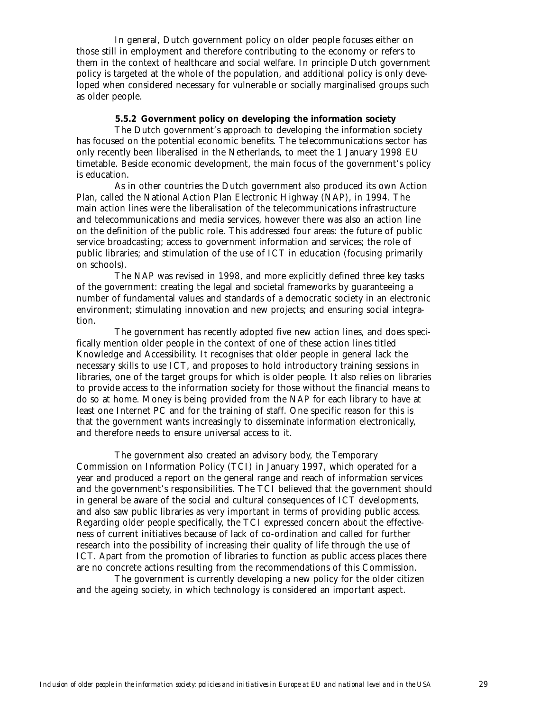In general, Dutch government policy on older people focuses either on those still in employment and therefore contributing to the economy or refers to them in the context of healthcare and social welfare. In principle Dutch government policy is targeted at the whole of the population, and additional policy is only developed when considered necessary for vulnerable or socially marginalised groups such as older people.

# **5.5.2 Government policy on developing the information society**

The Dutch government's approach to developing the information society has focused on the potential economic benefits. The telecommunications sector has only recently been liberalised in the Netherlands, to meet the 1 January 1998 EU timetable. Beside economic development, the main focus of the government's policy is education.

As in other countries the Dutch government also produced its own Action Plan, called the National Action Plan Electronic Highway (NAP), in 1994. The main action lines were the liberalisation of the telecommunications infrastructure and telecommunications and media services, however there was also an action line on the definition of the public role. This addressed four areas: the future of public service broadcasting; access to government information and services; the role of public libraries; and stimulation of the use of ICT in education (focusing primarily on schools).

The NAP was revised in 1998, and more explicitly defined three key tasks of the government: creating the legal and societal frameworks by guaranteeing a number of fundamental values and standards of a democratic society in an electronic environment; stimulating innovation and new projects; and ensuring social integration.

The government has recently adopted five new action lines, and does specifically mention older people in the context of one of these action lines titled Knowledge and Accessibility. It recognises that older people in general lack the necessary skills to use ICT, and proposes to hold introductory training sessions in libraries, one of the target groups for which is older people. It also relies on libraries to provide access to the information society for those without the financial means to do so at home. Money is being provided from the NAP for each library to have at least one Internet PC and for the training of staff. One specific reason for this is that the government wants increasingly to disseminate information electronically, and therefore needs to ensure universal access to it.

The government also created an advisory body, the Temporary Commission on Information Policy (TCI) in January 1997, which operated for a year and produced a report on the general range and reach of information services and the government's responsibilities. The TCI believed that the government should in general be aware of the social and cultural consequences of ICT developments, and also saw public libraries as very important in terms of providing public access. Regarding older people specifically, the TCI expressed concern about the effectiveness of current initiatives because of lack of co-ordination and called for further research into the possibility of increasing their quality of life through the use of ICT. Apart from the promotion of libraries to function as public access places there are no concrete actions resulting from the recommendations of this Commission.

The government is currently developing a new policy for the older citizen and the ageing society, in which technology is considered an important aspect.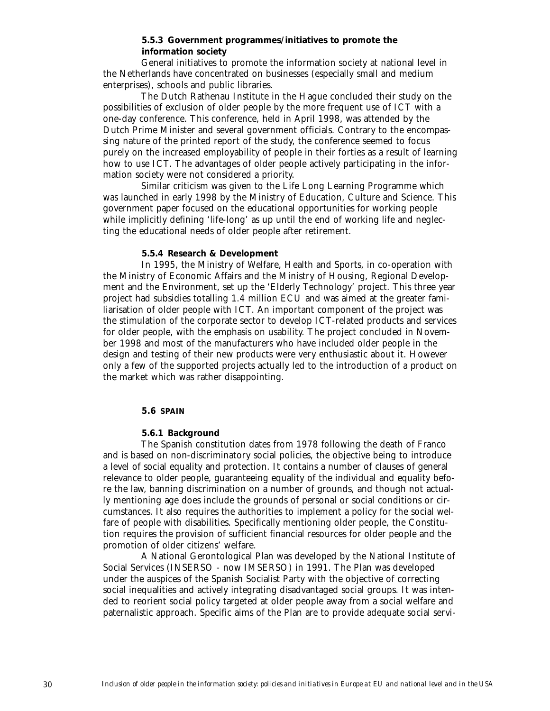# **5.5.3 Government programmes/initiatives to promote the information society**

General initiatives to promote the information society at national level in the Netherlands have concentrated on businesses (especially small and medium enterprises), schools and public libraries.

The Dutch Rathenau Institute in the Hague concluded their study on the possibilities of exclusion of older people by the more frequent use of ICT with a one-day conference. This conference, held in April 1998, was attended by the Dutch Prime Minister and several government officials. Contrary to the encompassing nature of the printed report of the study, the conference seemed to focus purely on the increased employability of people in their forties as a result of learning how to use ICT. The advantages of older people actively participating in the information society were not considered a priority.

Similar criticism was given to the Life Long Learning Programme which was launched in early 1998 by the Ministry of Education, Culture and Science. This government paper focused on the educational opportunities for working people while implicitly defining 'life-long' as up until the end of working life and neglecting the educational needs of older people after retirement.

### **5.5.4 Research & Development**

In 1995, the Ministry of Welfare, Health and Sports, in co-operation with the Ministry of Economic Affairs and the Ministry of Housing, Regional Development and the Environment, set up the 'Elderly Technology' project. This three year project had subsidies totalling 1.4 million ECU and was aimed at the greater familiarisation of older people with ICT. An important component of the project was the stimulation of the corporate sector to develop ICT-related products and services for older people, with the emphasis on usability. The project concluded in November 1998 and most of the manufacturers who have included older people in the design and testing of their new products were very enthusiastic about it. However only a few of the supported projects actually led to the introduction of a product on the market which was rather disappointing.

### **5.6 SPAIN**

### **5.6.1 Background**

The Spanish constitution dates from 1978 following the death of Franco and is based on non-discriminatory social policies, the objective being to introduce a level of social equality and protection. It contains a number of clauses of general relevance to older people, guaranteeing equality of the individual and equality before the law, banning discrimination on a number of grounds, and though not actually mentioning age does include the grounds of personal or social conditions or circumstances. It also requires the authorities to implement a policy for the social welfare of people with disabilities. Specifically mentioning older people, the Constitution requires the provision of sufficient financial resources for older people and the promotion of older citizens' welfare.

A National Gerontological Plan was developed by the National Institute of Social Services (INSERSO - now IMSERSO) in 1991. The Plan was developed under the auspices of the Spanish Socialist Party with the objective of correcting social inequalities and actively integrating disadvantaged social groups. It was intended to reorient social policy targeted at older people away from a social welfare and paternalistic approach. Specific aims of the Plan are to provide adequate social servi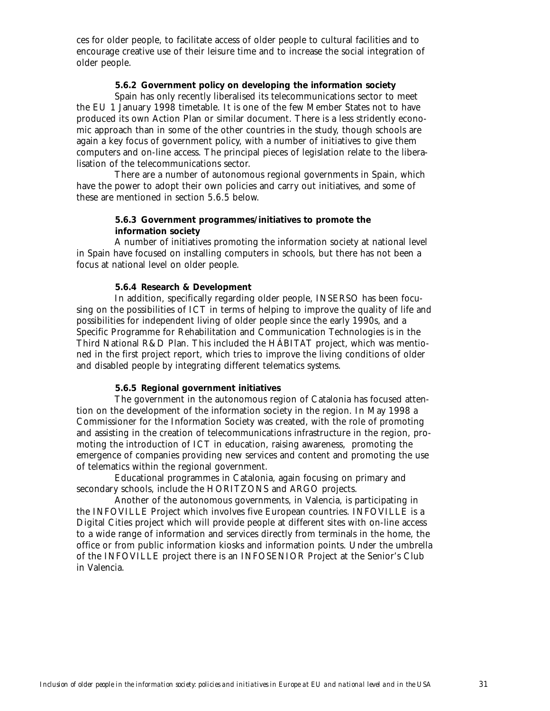ces for older people, to facilitate access of older people to cultural facilities and to encourage creative use of their leisure time and to increase the social integration of older people.

# **5.6.2 Government policy on developing the information society**

Spain has only recently liberalised its telecommunications sector to meet the EU 1 January 1998 timetable. It is one of the few Member States not to have produced its own Action Plan or similar document. There is a less stridently economic approach than in some of the other countries in the study, though schools are again a key focus of government policy, with a number of initiatives to give them computers and on-line access. The principal pieces of legislation relate to the liberalisation of the telecommunications sector.

There are a number of autonomous regional governments in Spain, which have the power to adopt their own policies and carry out initiatives, and some of these are mentioned in section 5.6.5 below.

# **5.6.3 Government programmes/initiatives to promote the information society**

A number of initiatives promoting the information society at national level in Spain have focused on installing computers in schools, but there has not been a focus at national level on older people.

# **5.6.4 Research & Development**

In addition, specifically regarding older people, INSERSO has been focusing on the possibilities of ICT in terms of helping to improve the quality of life and possibilities for independent living of older people since the early 1990s, and a Specific Programme for Rehabilitation and Communication Technologies is in the Third National R&D Plan. This included the HÁBITAT project, which was mentioned in the first project report, which tries to improve the living conditions of older and disabled people by integrating different telematics systems.

# **5.6.5 Regional government initiatives**

The government in the autonomous region of Catalonia has focused attention on the development of the information society in the region. In May 1998 a Commissioner for the Information Society was created, with the role of promoting and assisting in the creation of telecommunications infrastructure in the region, promoting the introduction of ICT in education, raising awareness, promoting the emergence of companies providing new services and content and promoting the use of telematics within the regional government.

Educational programmes in Catalonia, again focusing on primary and secondary schools, include the HORITZONS and ARGO projects.

Another of the autonomous governments, in Valencia, is participating in the INFOVILLE Project which involves five European countries. INFOVILLE is a Digital Cities project which will provide people at different sites with on-line access to a wide range of information and services directly from terminals in the home, the office or from public information kiosks and information points. Under the umbrella of the INFOVILLE project there is an INFOSENIOR Project at the Senior's Club in Valencia.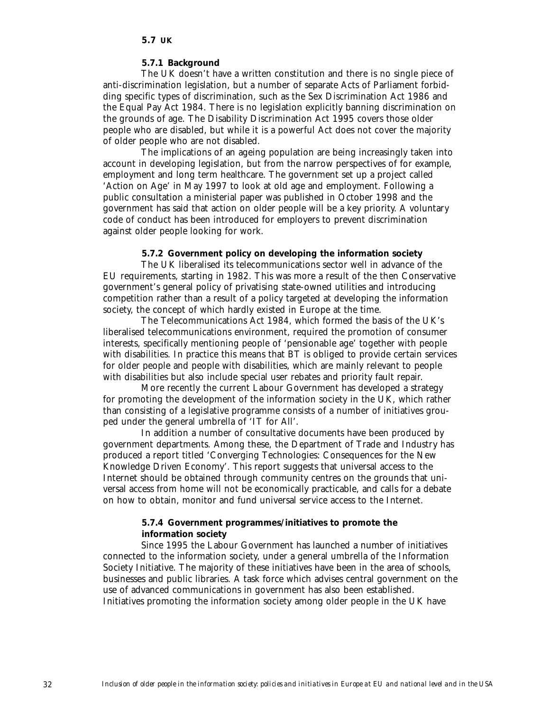### **5.7.1 Background**

The UK doesn't have a written constitution and there is no single piece of anti-discrimination legislation, but a number of separate Acts of Parliament forbidding specific types of discrimination, such as the Sex Discrimination Act 1986 and the Equal Pay Act 1984. There is no legislation explicitly banning discrimination on the grounds of age. The Disability Discrimination Act 1995 covers those older people who are disabled, but while it is a powerful Act does not cover the majority of older people who are not disabled.

The implications of an ageing population are being increasingly taken into account in developing legislation, but from the narrow perspectives of for example, employment and long term healthcare. The government set up a project called 'Action on Age' in May 1997 to look at old age and employment. Following a public consultation a ministerial paper was published in October 1998 and the government has said that action on older people will be a key priority. A voluntary code of conduct has been introduced for employers to prevent discrimination against older people looking for work.

# **5.7.2 Government policy on developing the information society**

The UK liberalised its telecommunications sector well in advance of the EU requirements, starting in 1982. This was more a result of the then Conservative government's general policy of privatising state-owned utilities and introducing competition rather than a result of a policy targeted at developing the information society, the concept of which hardly existed in Europe at the time.

The Telecommunications Act 1984, which formed the basis of the UK's liberalised telecommunications environment, required the promotion of consumer interests, specifically mentioning people of 'pensionable age' together with people with disabilities. In practice this means that BT is obliged to provide certain services for older people and people with disabilities, which are mainly relevant to people with disabilities but also include special user rebates and priority fault repair.

More recently the current Labour Government has developed a strategy for promoting the development of the information society in the UK, which rather than consisting of a legislative programme consists of a number of initiatives grouped under the general umbrella of 'IT for All'.

In addition a number of consultative documents have been produced by government departments. Among these, the Department of Trade and Industry has produced a report titled 'Converging Technologies: Consequences for the New Knowledge Driven Economy'. This report suggests that universal access to the Internet should be obtained through community centres on the grounds that universal access from home will not be economically practicable, and calls for a debate on how to obtain, monitor and fund universal service access to the Internet.

# **5.7.4 Government programmes/initiatives to promote the information society**

Since 1995 the Labour Government has launched a number of initiatives connected to the information society, under a general umbrella of the Information Society Initiative. The majority of these initiatives have been in the area of schools, businesses and public libraries. A task force which advises central government on the use of advanced communications in government has also been established. Initiatives promoting the information society among older people in the UK have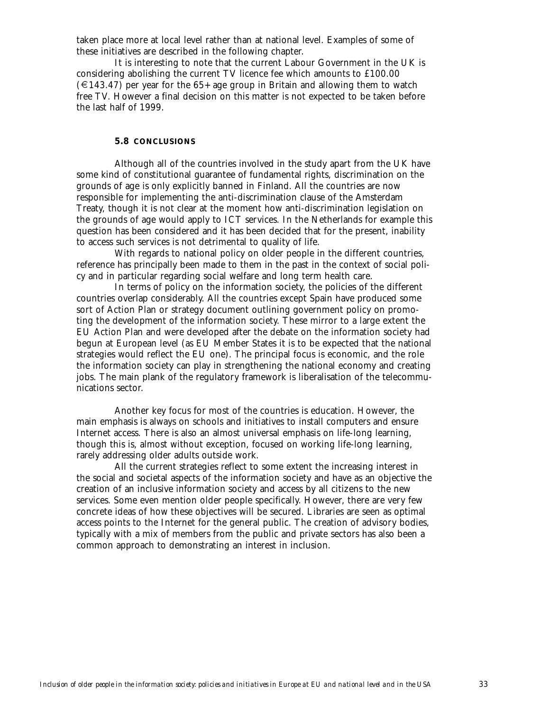taken place more at local level rather than at national level. Examples of some of these initiatives are described in the following chapter.

It is interesting to note that the current Labour Government in the UK is considering abolishing the current TV licence fee which amounts to £100.00  $(\text{\textsterling} 143.47)$  per year for the 65+ age group in Britain and allowing them to watch free TV. However a final decision on this matter is not expected to be taken before the last half of 1999.

### **5.8 CONCLUSIONS**

Although all of the countries involved in the study apart from the UK have some kind of constitutional guarantee of fundamental rights, discrimination on the grounds of age is only explicitly banned in Finland. All the countries are now responsible for implementing the anti-discrimination clause of the Amsterdam Treaty, though it is not clear at the moment how anti-discrimination legislation on the grounds of age would apply to ICT services. In the Netherlands for example this question has been considered and it has been decided that for the present, inability to access such services is not detrimental to quality of life.

With regards to national policy on older people in the different countries, reference has principally been made to them in the past in the context of social policy and in particular regarding social welfare and long term health care.

In terms of policy on the information society, the policies of the different countries overlap considerably. All the countries except Spain have produced some sort of Action Plan or strategy document outlining government policy on promoting the development of the information society. These mirror to a large extent the EU Action Plan and were developed after the debate on the information society had begun at European level (as EU Member States it is to be expected that the national strategies would reflect the EU one). The principal focus is economic, and the role the information society can play in strengthening the national economy and creating jobs. The main plank of the regulatory framework is liberalisation of the telecommunications sector.

Another key focus for most of the countries is education. However, the main emphasis is always on schools and initiatives to install computers and ensure Internet access. There is also an almost universal emphasis on life-long learning, though this is, almost without exception, focused on working life-long learning, rarely addressing older adults outside work.

All the current strategies reflect to some extent the increasing interest in the social and societal aspects of the information society and have as an objective the creation of an inclusive information society and access by all citizens to the new services. Some even mention older people specifically. However, there are very few concrete ideas of how these objectives will be secured. Libraries are seen as optimal access points to the Internet for the general public. The creation of advisory bodies, typically with a mix of members from the public and private sectors has also been a common approach to demonstrating an interest in inclusion.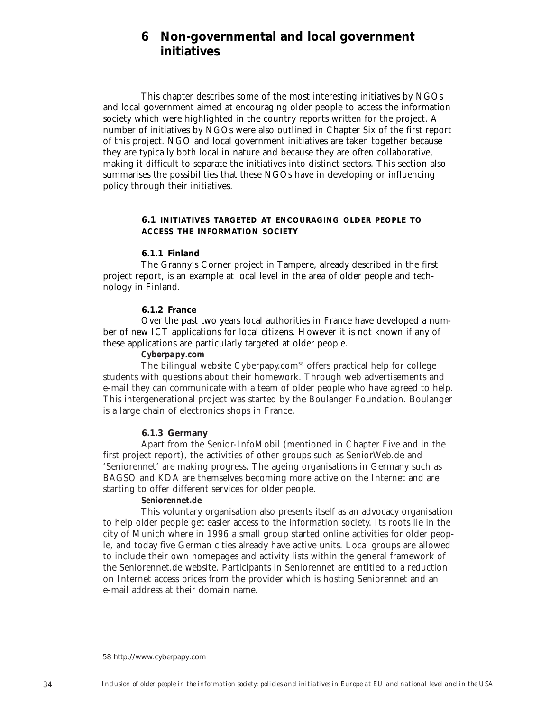# **6 Non-governmental and local government initiatives**

This chapter describes some of the most interesting initiatives by NGOs and local government aimed at encouraging older people to access the information society which were highlighted in the country reports written for the project. A number of initiatives by NGOs were also outlined in Chapter Six of the first report of this project. NGO and local government initiatives are taken together because they are typically both local in nature and because they are often collaborative, making it difficult to separate the initiatives into distinct sectors. This section also summarises the possibilities that these NGOs have in developing or influencing policy through their initiatives.

# **6.1 INITIATIVES TARGETED AT ENCOURAGING OLDER PEOPLE TO ACCESS THE INFORMATION SOCIETY**

# **6.1.1 Finland**

The Granny's Corner project in Tampere, already described in the first project report, is an example at local level in the area of older people and technology in Finland.

# **6.1.2 France**

Over the past two years local authorities in France have developed a number of new ICT applications for local citizens. However it is not known if any of these applications are particularly targeted at older people.

# *Cyberpapy.com*

The bilingual website Cyberpapy.com<sup>58</sup> offers practical help for college students with questions about their homework. Through web advertisements and e-mail they can communicate with a team of older people who have agreed to help. This intergenerational project was started by the Boulanger Foundation. Boulanger is a large chain of electronics shops in France.

### **6.1.3 Germany**

Apart from the Senior-InfoMobil (mentioned in Chapter Five and in the first project report), the activities of other groups such as SeniorWeb.de and 'Seniorennet' are making progress. The ageing organisations in Germany such as BAGSO and KDA are themselves becoming more active on the Internet and are starting to offer different services for older people.

### *Seniorennet.de*

This voluntary organisation also presents itself as an advocacy organisation to help older people get easier access to the information society. Its roots lie in the city of Munich where in 1996 a small group started online activities for older people, and today five German cities already have active units. Local groups are allowed to include their own homepages and activity lists within the general framework of the Seniorennet.de website. Participants in Seniorennet are entitled to a reduction on Internet access prices from the provider which is hosting Seniorennet and an e-mail address at their domain name.

58 http://www.cyberpapy.com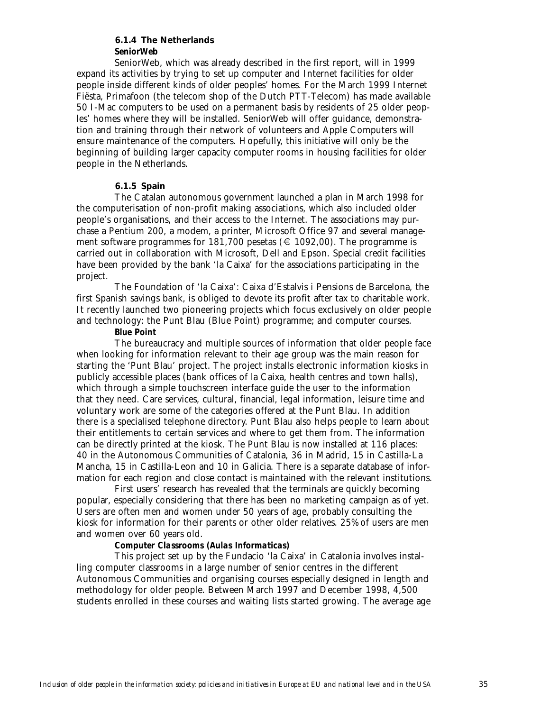# **6.1.4 The Netherlands** *SeniorWeb*

SeniorWeb, which was already described in the first report, will in 1999 expand its activities by trying to set up computer and Internet facilities for older people inside different kinds of older peoples' homes. For the March 1999 Internet Fiësta, Primafoon (the telecom shop of the Dutch PTT-Telecom) has made available 50 I-Mac computers to be used on a permanent basis by residents of 25 older peoples' homes where they will be installed. SeniorWeb will offer guidance, demonstration and training through their network of volunteers and Apple Computers will ensure maintenance of the computers. Hopefully, this initiative will only be the beginning of building larger capacity computer rooms in housing facilities for older people in the Netherlands.

# **6.1.5 Spain**

The Catalan autonomous government launched a plan in March 1998 for the computerisation of non-profit making associations, which also included older people's organisations, and their access to the Internet. The associations may purchase a Pentium 200, a modem, a printer, Microsoft Office 97 and several management software programmes for 181,700 pesetas ( $\epsilon$  1092,00). The programme is carried out in collaboration with Microsoft, Dell and Epson. Special credit facilities have been provided by the bank 'la Caixa' for the associations participating in the project.

The Foundation of 'la Caixa': Caixa d'Estalvis i Pensions de Barcelona, the first Spanish savings bank, is obliged to devote its profit after tax to charitable work. It recently launched two pioneering projects which focus exclusively on older people and technology: the Punt Blau (Blue Point) programme; and computer courses.

# *Blue Point*

The bureaucracy and multiple sources of information that older people face when looking for information relevant to their age group was the main reason for starting the 'Punt Blau' project. The project installs electronic information kiosks in publicly accessible places (bank offices of la Caixa, health centres and town halls), which through a simple touchscreen interface guide the user to the information that they need. Care services, cultural, financial, legal information, leisure time and voluntary work are some of the categories offered at the Punt Blau. In addition there is a specialised telephone directory. Punt Blau also helps people to learn about their entitlements to certain services and where to get them from. The information can be directly printed at the kiosk. The Punt Blau is now installed at 116 places: 40 in the Autonomous Communities of Catalonia, 36 in Madrid, 15 in Castilla-La Mancha, 15 in Castilla-Leon and 10 in Galicia. There is a separate database of information for each region and close contact is maintained with the relevant institutions.

First users' research has revealed that the terminals are quickly becoming popular, especially considering that there has been no marketing campaign as of yet. Users are often men and women under 50 years of age, probably consulting the kiosk for information for their parents or other older relatives. 25% of users are men and women over 60 years old.

# *Computer Classrooms (Aulas Informaticas)*

This project set up by the Fundacio 'la Caixa' in Catalonia involves installing computer classrooms in a large number of senior centres in the different Autonomous Communities and organising courses especially designed in length and methodology for older people. Between March 1997 and December 1998, 4,500 students enrolled in these courses and waiting lists started growing. The average age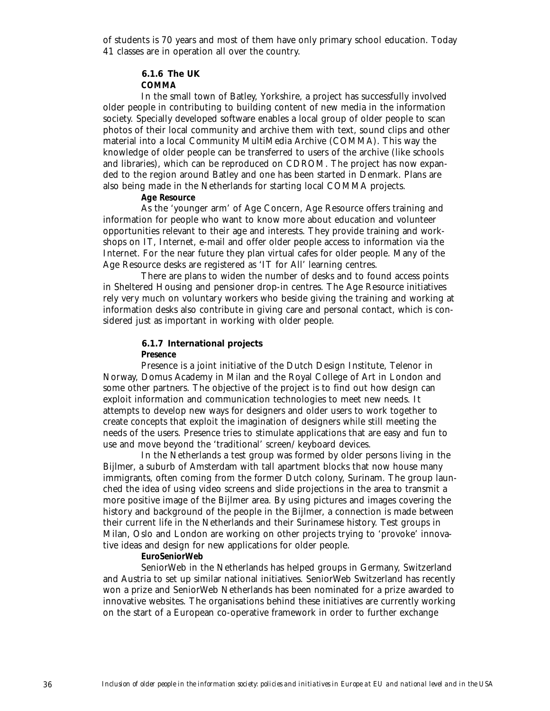of students is 70 years and most of them have only primary school education. Today 41 classes are in operation all over the country.

# **6.1.6 The UK**

*COMMA*

In the small town of Batley, Yorkshire, a project has successfully involved older people in contributing to building content of new media in the information society. Specially developed software enables a local group of older people to scan photos of their local community and archive them with text, sound clips and other material into a local Community MultiMedia Archive (COMMA). This way the knowledge of older people can be transferred to users of the archive (like schools and libraries), which can be reproduced on CDROM. The project has now expanded to the region around Batley and one has been started in Denmark. Plans are also being made in the Netherlands for starting local COMMA projects.

# *Age Resource*

As the 'younger arm' of Age Concern, Age Resource offers training and information for people who want to know more about education and volunteer opportunities relevant to their age and interests. They provide training and workshops on IT, Internet, e-mail and offer older people access to information via the Internet. For the near future they plan virtual cafes for older people. Many of the Age Resource desks are registered as 'IT for All' learning centres.

There are plans to widen the number of desks and to found access points in Sheltered Housing and pensioner drop-in centres. The Age Resource initiatives rely very much on voluntary workers who beside giving the training and working at information desks also contribute in giving care and personal contact, which is considered just as important in working with older people.

# **6.1.7 International projects**

*Presence*

Presence is a joint initiative of the Dutch Design Institute, Telenor in Norway, Domus Academy in Milan and the Royal College of Art in London and some other partners. The objective of the project is to find out how design can exploit information and communication technologies to meet new needs. It attempts to develop new ways for designers and older users to work together to create concepts that exploit the imagination of designers while still meeting the needs of the users. Presence tries to stimulate applications that are easy and fun to use and move beyond the 'traditional' screen/keyboard devices.

In the Netherlands a test group was formed by older persons living in the Bijlmer, a suburb of Amsterdam with tall apartment blocks that now house many immigrants, often coming from the former Dutch colony, Surinam. The group launched the idea of using video screens and slide projections in the area to transmit a more positive image of the Bijlmer area. By using pictures and images covering the history and background of the people in the Bijlmer, a connection is made between their current life in the Netherlands and their Surinamese history. Test groups in Milan, Oslo and London are working on other projects trying to 'provoke' innovative ideas and design for new applications for older people.

# *EuroSeniorWeb*

SeniorWeb in the Netherlands has helped groups in Germany, Switzerland and Austria to set up similar national initiatives. SeniorWeb Switzerland has recently won a prize and SeniorWeb Netherlands has been nominated for a prize awarded to innovative websites. The organisations behind these initiatives are currently working on the start of a European co-operative framework in order to further exchange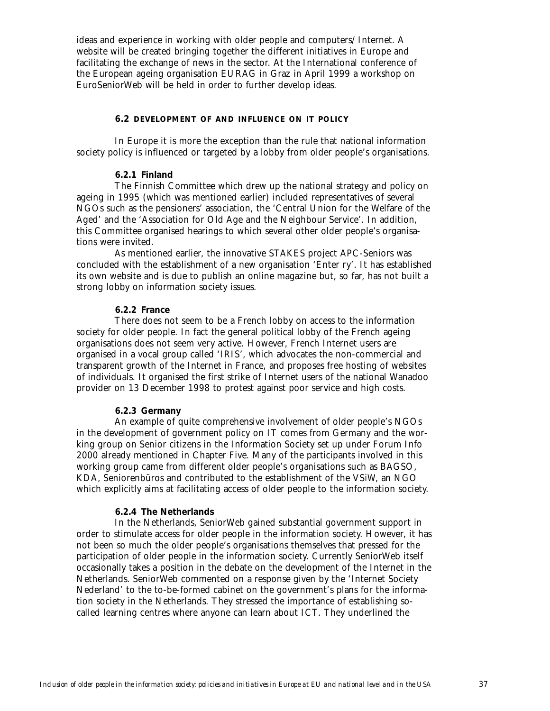ideas and experience in working with older people and computers/Internet. A website will be created bringing together the different initiatives in Europe and facilitating the exchange of news in the sector. At the International conference of the European ageing organisation EURAG in Graz in April 1999 a workshop on EuroSeniorWeb will be held in order to further develop ideas.

### **6.2 DEVELOPMENT OF AND INFLUENCE ON IT POLICY**

In Europe it is more the exception than the rule that national information society policy is influenced or targeted by a lobby from older people's organisations.

# **6.2.1 Finland**

The Finnish Committee which drew up the national strategy and policy on ageing in 1995 (which was mentioned earlier) included representatives of several NGOs such as the pensioners' association, the 'Central Union for the Welfare of the Aged' and the 'Association for Old Age and the Neighbour Service'. In addition, this Committee organised hearings to which several other older people's organisations were invited.

As mentioned earlier, the innovative STAKES project APC-Seniors was concluded with the establishment of a new organisation 'Enter ry'. It has established its own website and is due to publish an online magazine but, so far, has not built a strong lobby on information society issues.

### **6.2.2 France**

There does not seem to be a French lobby on access to the information society for older people. In fact the general political lobby of the French ageing organisations does not seem very active. However, French Internet users are organised in a vocal group called 'IRIS', which advocates the non-commercial and transparent growth of the Internet in France, and proposes free hosting of websites of individuals. It organised the first strike of Internet users of the national Wanadoo provider on 13 December 1998 to protest against poor service and high costs.

# **6.2.3 Germany**

An example of quite comprehensive involvement of older people's NGOs in the development of government policy on IT comes from Germany and the working group on Senior citizens in the Information Society set up under Forum Info 2000 already mentioned in Chapter Five. Many of the participants involved in this working group came from different older people's organisations such as BAGSO, KDA, Seniorenbüros and contributed to the establishment of the VSiW, an NGO which explicitly aims at facilitating access of older people to the information society.

### **6.2.4 The Netherlands**

In the Netherlands, SeniorWeb gained substantial government support in order to stimulate access for older people in the information society. However, it has not been so much the older people's organisations themselves that pressed for the participation of older people in the information society. Currently SeniorWeb itself occasionally takes a position in the debate on the development of the Internet in the Netherlands. SeniorWeb commented on a response given by the 'Internet Society Nederland' to the to-be-formed cabinet on the government's plans for the information society in the Netherlands. They stressed the importance of establishing socalled learning centres where anyone can learn about ICT. They underlined the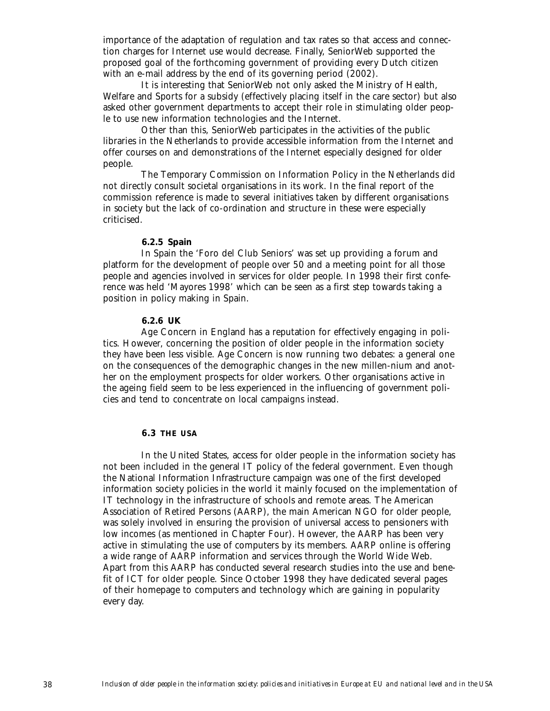importance of the adaptation of regulation and tax rates so that access and connection charges for Internet use would decrease. Finally, SeniorWeb supported the proposed goal of the forthcoming government of providing every Dutch citizen with an e-mail address by the end of its governing period (2002).

It is interesting that SeniorWeb not only asked the Ministry of Health, Welfare and Sports for a subsidy (effectively placing itself in the care sector) but also asked other government departments to accept their role in stimulating older people to use new information technologies and the Internet.

Other than this, SeniorWeb participates in the activities of the public libraries in the Netherlands to provide accessible information from the Internet and offer courses on and demonstrations of the Internet especially designed for older people.

The Temporary Commission on Information Policy in the Netherlands did not directly consult societal organisations in its work. In the final report of the commission reference is made to several initiatives taken by different organisations in society but the lack of co-ordination and structure in these were especially criticised.

# **6.2.5 Spain**

In Spain the 'Foro del Club Seniors' was set up providing a forum and platform for the development of people over 50 and a meeting point for all those people and agencies involved in services for older people. In 1998 their first conference was held 'Mayores 1998' which can be seen as a first step towards taking a position in policy making in Spain.

# **6.2.6 UK**

Age Concern in England has a reputation for effectively engaging in politics. However, concerning the position of older people in the information society they have been less visible. Age Concern is now running two debates: a general one on the consequences of the demographic changes in the new millen-nium and another on the employment prospects for older workers. Other organisations active in the ageing field seem to be less experienced in the influencing of government policies and tend to concentrate on local campaigns instead.

#### **6.3 THE USA**

In the United States, access for older people in the information society has not been included in the general IT policy of the federal government. Even though the National Information Infrastructure campaign was one of the first developed information society policies in the world it mainly focused on the implementation of IT technology in the infrastructure of schools and remote areas. The American Association of Retired Persons (AARP), the main American NGO for older people, was solely involved in ensuring the provision of universal access to pensioners with low incomes (as mentioned in Chapter Four). However, the AARP has been very active in stimulating the use of computers by its members. AARP online is offering a wide range of AARP information and services through the World Wide Web. Apart from this AARP has conducted several research studies into the use and benefit of ICT for older people. Since October 1998 they have dedicated several pages of their homepage to computers and technology which are gaining in popularity every day.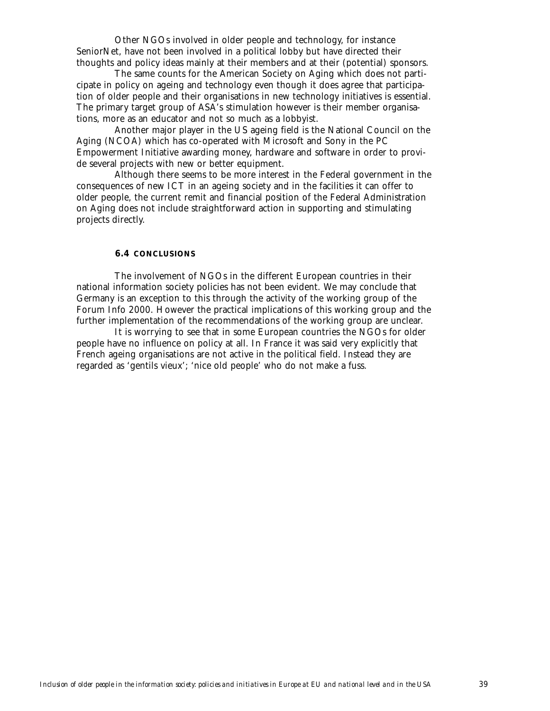Other NGOs involved in older people and technology, for instance SeniorNet, have not been involved in a political lobby but have directed their thoughts and policy ideas mainly at their members and at their (potential) sponsors.

The same counts for the American Society on Aging which does not participate in policy on ageing and technology even though it does agree that participation of older people and their organisations in new technology initiatives is essential. The primary target group of ASA's stimulation however is their member organisations, more as an educator and not so much as a lobbyist.

Another major player in the US ageing field is the National Council on the Aging (NCOA) which has co-operated with Microsoft and Sony in the PC Empowerment Initiative awarding money, hardware and software in order to provide several projects with new or better equipment.

Although there seems to be more interest in the Federal government in the consequences of new ICT in an ageing society and in the facilities it can offer to older people, the current remit and financial position of the Federal Administration on Aging does not include straightforward action in supporting and stimulating projects directly.

### **6.4 CONCLUSIONS**

The involvement of NGOs in the different European countries in their national information society policies has not been evident. We may conclude that Germany is an exception to this through the activity of the working group of the Forum Info 2000. However the practical implications of this working group and the further implementation of the recommendations of the working group are unclear.

It is worrying to see that in some European countries the NGOs for older people have no influence on policy at all. In France it was said very explicitly that French ageing organisations are not active in the political field. Instead they are regarded as 'gentils vieux'; 'nice old people' who do not make a fuss.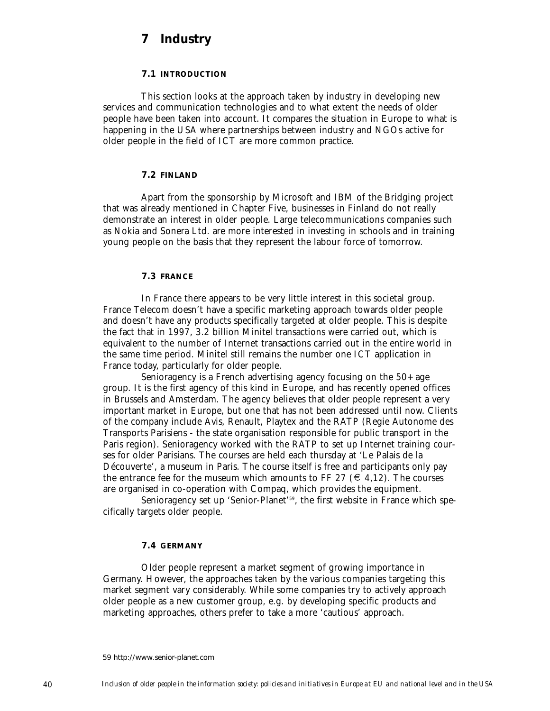# **7 Industry**

# **7.1 INTRODUCTION**

This section looks at the approach taken by industry in developing new services and communication technologies and to what extent the needs of older people have been taken into account. It compares the situation in Europe to what is happening in the USA where partnerships between industry and NGOs active for older people in the field of ICT are more common practice.

### **7.2 FINLAND**

Apart from the sponsorship by Microsoft and IBM of the Bridging project that was already mentioned in Chapter Five, businesses in Finland do not really demonstrate an interest in older people. Large telecommunications companies such as Nokia and Sonera Ltd. are more interested in investing in schools and in training young people on the basis that they represent the labour force of tomorrow.

# **7.3 FRANCE**

In France there appears to be very little interest in this societal group. France Telecom doesn't have a specific marketing approach towards older people and doesn't have any products specifically targeted at older people. This is despite the fact that in 1997, 3.2 billion Minitel transactions were carried out, which is equivalent to the number of Internet transactions carried out in the entire world in the same time period. Minitel still remains the number one ICT application in France today, particularly for older people.

Senioragency is a French advertising agency focusing on the 50+ age group. It is the first agency of this kind in Europe, and has recently opened offices in Brussels and Amsterdam. The agency believes that older people represent a very important market in Europe, but one that has not been addressed until now. Clients of the company include Avis, Renault, Playtex and the RATP (Regie Autonome des Transports Parisiens - the state organisation responsible for public transport in the Paris region). Senioragency worked with the RATP to set up Internet training courses for older Parisians. The courses are held each thursday at 'Le Palais de la Découverte', a museum in Paris. The course itself is free and participants only pay the entrance fee for the museum which amounts to FF 27 ( $\in$  4,12). The courses are organised in co-operation with Compaq, which provides the equipment.

Senioragency set up 'Senior-Planet'<sup>59</sup>, the first website in France which specifically targets older people.

### **7.4 GERMANY**

Older people represent a market segment of growing importance in Germany. However, the approaches taken by the various companies targeting this market segment vary considerably. While some companies try to actively approach older people as a new customer group, e.g. by developing specific products and marketing approaches, others prefer to take a more 'cautious' approach.

59 http://www.senior-planet.com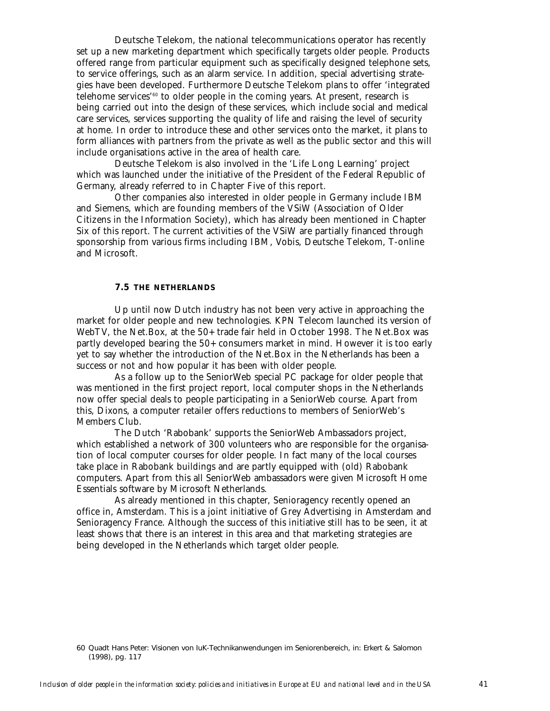Deutsche Telekom, the national telecommunications operator has recently set up a new marketing department which specifically targets older people. Products offered range from particular equipment such as specifically designed telephone sets, to service offerings, such as an alarm service. In addition, special advertising strategies have been developed. Furthermore Deutsche Telekom plans to offer 'integrated telehome services'60 to older people in the coming years. At present, research is being carried out into the design of these services, which include social and medical care services, services supporting the quality of life and raising the level of security at home. In order to introduce these and other services onto the market, it plans to form alliances with partners from the private as well as the public sector and this will include organisations active in the area of health care.

Deutsche Telekom is also involved in the 'Life Long Learning' project which was launched under the initiative of the President of the Federal Republic of Germany, already referred to in Chapter Five of this report.

Other companies also interested in older people in Germany include IBM and Siemens, which are founding members of the VSiW (Association of Older Citizens in the Information Society), which has already been mentioned in Chapter Six of this report. The current activities of the VSiW are partially financed through sponsorship from various firms including IBM, Vobis, Deutsche Telekom, T-online and Microsoft.

# **7.5 THE NETHERLANDS**

Up until now Dutch industry has not been very active in approaching the market for older people and new technologies. KPN Telecom launched its version of WebTV, the Net.Box, at the 50+ trade fair held in October 1998. The Net.Box was partly developed bearing the 50+ consumers market in mind. However it is too early yet to say whether the introduction of the Net.Box in the Netherlands has been a success or not and how popular it has been with older people.

As a follow up to the SeniorWeb special PC package for older people that was mentioned in the first project report, local computer shops in the Netherlands now offer special deals to people participating in a SeniorWeb course. Apart from this, Dixons, a computer retailer offers reductions to members of SeniorWeb's Members Club.

The Dutch 'Rabobank' supports the SeniorWeb Ambassadors project, which established a network of 300 volunteers who are responsible for the organisation of local computer courses for older people. In fact many of the local courses take place in Rabobank buildings and are partly equipped with (old) Rabobank computers. Apart from this all SeniorWeb ambassadors were given Microsoft Home Essentials software by Microsoft Netherlands.

As already mentioned in this chapter, Senioragency recently opened an office in, Amsterdam. This is a joint initiative of Grey Advertising in Amsterdam and Senioragency France. Although the success of this initiative still has to be seen, it at least shows that there is an interest in this area and that marketing strategies are being developed in the Netherlands which target older people.

<sup>60</sup> Quadt Hans Peter: Visionen von IuK-Technikanwendungen im Seniorenbereich, in: Erkert & Salomon (1998), pg. 117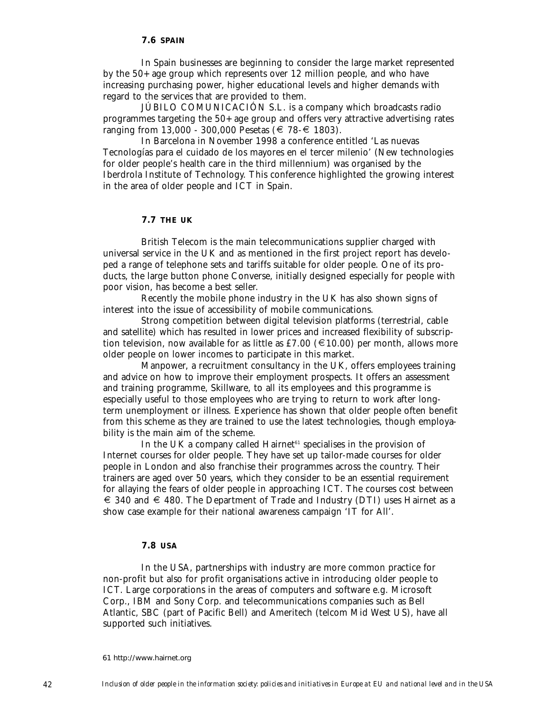In Spain businesses are beginning to consider the large market represented by the 50+ age group which represents over 12 million people, and who have increasing purchasing power, higher educational levels and higher demands with regard to the services that are provided to them.

JÚBILO COMUNICACIÓN S.L. is a company which broadcasts radio programmes targeting the 50+ age group and offers very attractive advertising rates ranging from 13,000 - 300,000 Pesetas (€ 78-€ 1803).

In Barcelona in November 1998 a conference entitled 'Las nuevas Tecnologías para el cuidado de los mayores en el tercer milenio' (New technologies for older people's health care in the third millennium) was organised by the Iberdrola Institute of Technology. This conference highlighted the growing interest in the area of older people and ICT in Spain.

#### **7.7 THE UK**

British Telecom is the main telecommunications supplier charged with universal service in the UK and as mentioned in the first project report has developed a range of telephone sets and tariffs suitable for older people. One of its products, the large button phone Converse, initially designed especially for people with poor vision, has become a best seller.

Recently the mobile phone industry in the UK has also shown signs of interest into the issue of accessibility of mobile communications.

Strong competition between digital television platforms (terrestrial, cable and satellite) which has resulted in lower prices and increased flexibility of subscription television, now available for as little as £7.00 ( $\in$  10.00) per month, allows more older people on lower incomes to participate in this market.

Manpower, a recruitment consultancy in the UK, offers employees training and advice on how to improve their employment prospects. It offers an assessment and training programme, Skillware, to all its employees and this programme is especially useful to those employees who are trying to return to work after longterm unemployment or illness. Experience has shown that older people often benefit from this scheme as they are trained to use the latest technologies, though employability is the main aim of the scheme.

In the UK a company called Hairnet<sup>61</sup> specialises in the provision of Internet courses for older people. They have set up tailor-made courses for older people in London and also franchise their programmes across the country. Their trainers are aged over 50 years, which they consider to be an essential requirement for allaying the fears of older people in approaching ICT. The courses cost between  $\epsilon \leq 340$  and  $\epsilon$  480. The Department of Trade and Industry (DTI) uses Hairnet as a show case example for their national awareness campaign 'IT for All'.

# **7.8 USA**

In the USA, partnerships with industry are more common practice for non-profit but also for profit organisations active in introducing older people to ICT. Large corporations in the areas of computers and software e.g. Microsoft Corp., IBM and Sony Corp. and telecommunications companies such as Bell Atlantic, SBC (part of Pacific Bell) and Ameritech (telcom Mid West US), have all supported such initiatives.

<sup>61</sup> http://www.hairnet.org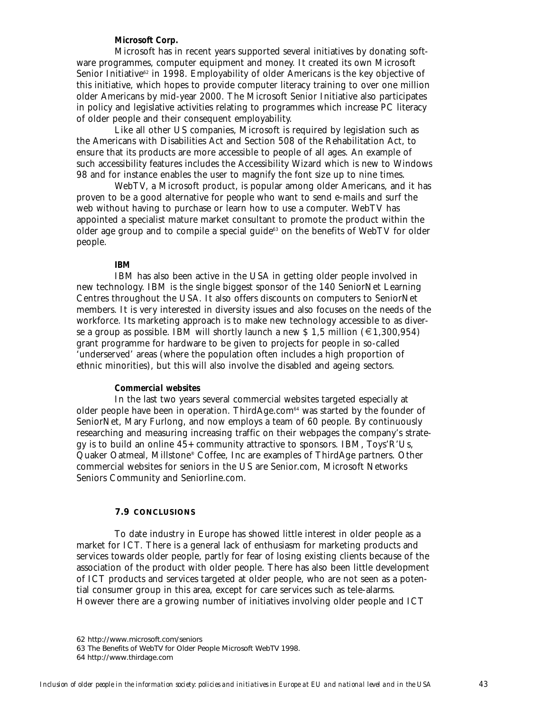# *Microsoft Corp.*

Microsoft has in recent years supported several initiatives by donating software programmes, computer equipment and money. It created its own Microsoft Senior Initiative<sup>62</sup> in 1998. Employability of older Americans is the key objective of this initiative, which hopes to provide computer literacy training to over one million older Americans by mid-year 2000. The Microsoft Senior Initiative also participates in policy and legislative activities relating to programmes which increase PC literacy of older people and their consequent employability.

Like all other US companies, Microsoft is required by legislation such as the Americans with Disabilities Act and Section 508 of the Rehabilitation Act, to ensure that its products are more accessible to people of all ages. An example of such accessibility features includes the Accessibility Wizard which is new to Windows 98 and for instance enables the user to magnify the font size up to nine times.

WebTV, a Microsoft product, is popular among older Americans, and it has proven to be a good alternative for people who want to send e-mails and surf the web without having to purchase or learn how to use a computer. WebTV has appointed a specialist mature market consultant to promote the product within the older age group and to compile a special guide $63$  on the benefits of WebTV for older people.

#### *IBM*

IBM has also been active in the USA in getting older people involved in new technology. IBM is the single biggest sponsor of the 140 SeniorNet Learning Centres throughout the USA. It also offers discounts on computers to SeniorNet members. It is very interested in diversity issues and also focuses on the needs of the workforce. Its marketing approach is to make new technology accessible to as diverse a group as possible. IBM will shortly launch a new \$ 1,5 million ( $\epsilon$ 1,300,954) grant programme for hardware to be given to projects for people in so-called 'underserved' areas (where the population often includes a high proportion of ethnic minorities), but this will also involve the disabled and ageing sectors.

#### *Commercial websites*

In the last two years several commercial websites targeted especially at older people have been in operation. ThirdAge.com<sup>64</sup> was started by the founder of SeniorNet, Mary Furlong, and now employs a team of 60 people. By continuously researching and measuring increasing traffic on their webpages the company's strategy is to build an online 45+ community attractive to sponsors. IBM, Toys'R'Us, Quaker Oatmeal, Millstone® Coffee, Inc are examples of ThirdAge partners. Other commercial websites for seniors in the US are Senior.com, Microsoft Networks Seniors Community and Seniorline.com.

#### **7.9 CONCLUSIONS**

To date industry in Europe has showed little interest in older people as a market for ICT. There is a general lack of enthusiasm for marketing products and services towards older people, partly for fear of losing existing clients because of the association of the product with older people. There has also been little development of ICT products and services targeted at older people, who are not seen as a potential consumer group in this area, except for care services such as tele-alarms. However there are a growing number of initiatives involving older people and ICT

<sup>62</sup> http://www.microsoft.com/seniors

<sup>63</sup> The Benefits of WebTV for Older People Microsoft WebTV 1998.

<sup>64</sup> http://www.thirdage.com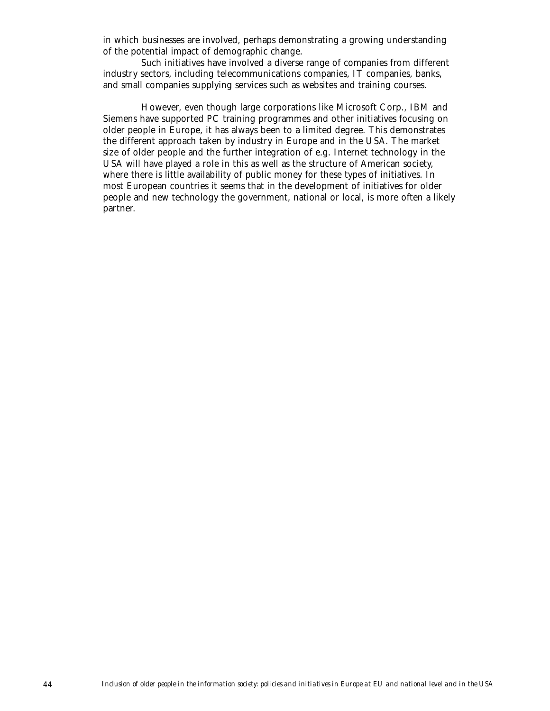in which businesses are involved, perhaps demonstrating a growing understanding of the potential impact of demographic change.

Such initiatives have involved a diverse range of companies from different industry sectors, including telecommunications companies, IT companies, banks, and small companies supplying services such as websites and training courses.

However, even though large corporations like Microsoft Corp., IBM and Siemens have supported PC training programmes and other initiatives focusing on older people in Europe, it has always been to a limited degree. This demonstrates the different approach taken by industry in Europe and in the USA. The market size of older people and the further integration of e.g. Internet technology in the USA will have played a role in this as well as the structure of American society, where there is little availability of public money for these types of initiatives. In most European countries it seems that in the development of initiatives for older people and new technology the government, national or local, is more often a likely partner.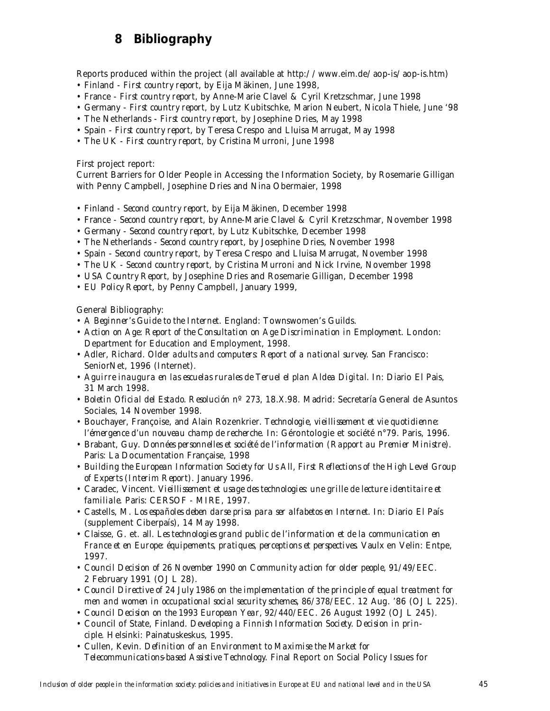# **8 Bibliography**

Reports produced within the project (all available at http://www.eim.de/aop-is/aop-is.htm) • Finland - *First country report*, by Eija Mäkinen, June 1998,

- France *First country report*, by Anne-Marie Clavel & Cyril Kretzschmar, June 1998
- Germany *First country report*, by Lutz Kubitschke, Marion Neubert, Nicola Thiele, June '98
- The Netherlands *First country report*, by Josephine Dries, May 1998
- Spain *First country report*, by Teresa Crespo and Lluisa Marrugat, May 1998
- The UK *First country report*, by Cristina Murroni, June 1998

First project report:

Current Barriers for Older People in Accessing the Information Society, by Rosemarie Gilligan with Penny Campbell, Josephine Dries and Nina Obermaier, 1998

- Finland *Second country report*, by Eija Mäkinen, December 1998
- France *Second country report*, by Anne-Marie Clavel & Cyril Kretzschmar, November 1998
- Germany *Second country report*, by Lutz Kubitschke, December 1998
- The Netherlands *Second country report*, by Josephine Dries, November 1998
- Spain *Second country report*, by Teresa Crespo and Lluisa Marrugat, November 1998
- The UK *Second country report*, by Cristina Murroni and Nick Irvine, November 1998
- USA *Country Report*, by Josephine Dries and Rosemarie Gilligan, December 1998
- EU *Policy Report*, by Penny Campbell, January 1999,

General Bibliography:

- *A Beginner's Guide to the Internet*. England: Townswomen's Guilds.
- *Action on Age: Report of the Consultation on Age Discrimination in Employment*. London: Department for Education and Employment, 1998.
- Adler, Richard. *Older adults and computers: Report of a national survey*. San Francisco: SeniorNet, 1996 (Internet).
- *Aguirre inaugura en las escuelas rurales de Teruel el plan Aldea Digital*. In: Diario El Pais, 31 March 1998.
- *Boletin Oficial del Estado. Resolución nº 273*, 18.X.98. Madrid: Secretaría General de Asuntos Sociales, 14 November 1998.
- Bouchayer, Françoise, and Alain Rozenkrier. *Technologie, vieillissement et vie quotidienne: l'émergence d'un nouveau champ de recherche*. In: Gérontologie et société n°79. Paris, 1996.
- Brabant, Guy. *Données personnelles et société de l'information (Rapport au Premier Ministre)*. Paris: La Documentation Française, 1998
- *Building the European Information Society for Us All, First Reflections of the High Level Group of Experts (Interim Report)*. January 1996.
- Caradec, Vincent. *Vieillissement et usage des technologies: une grille de lecture identitaire et familiale*. Paris: CERSOF - MIRE, 1997.
- Castells, M. *Los españoles deben darse prisa para ser alfabetos en Internet*. In: Diario El País (supplement Ciberpaís), 14 May 1998.
- Claisse, G. et. all. *Les technologies grand public de l'information et de la communication en France et en Europe: équipements, pratiques, perceptions et perspectives*. Vaulx en Velin: Entpe, 1997.
- *Council Decision of 26 November 1990 on Community action for older people, 91/49/EEC*. 2 February 1991 (OJ L 28).
- *Council Directive of 24 July 1986 on the implementation of the principle of equal treatment for men and women in occupational social security schemes, 86/378/EEC*. 12 Aug. '86 (OJ L 225).
- *Council Decision on the 1993 European Year, 92/440/EEC*. 26 August 1992 (OJ L 245).
- Council of State, Finland. *Developing a Finnish Information Society. Decision in principle*. Helsinki: Painatuskeskus, 1995.
- Cullen, Kevin. *Definition of an Environment to Maximise the Market for Telecommunications-based Assistive Technology*. Final Report on Social Policy Issues for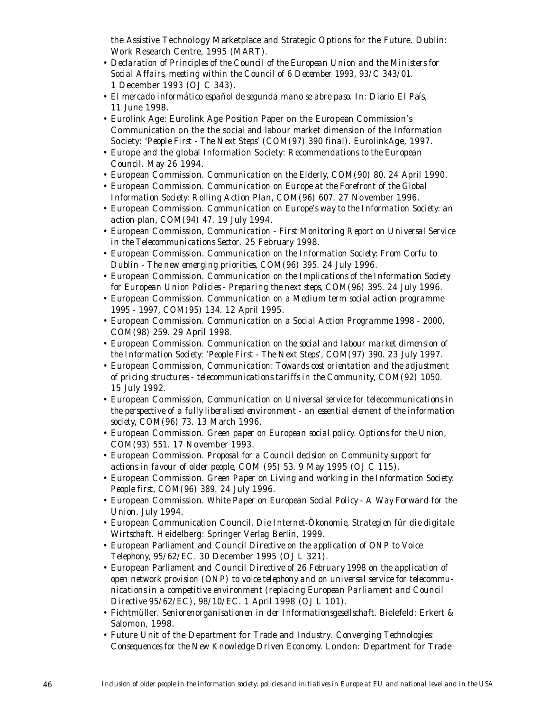the Assistive Technology Marketplace and Strategic Options for the Future. Dublin: Work Research Centre, 1995 (MART).

- *Declaration of Principles of the Council of the European Union and the Ministers for Social Affairs, meeting within the Council of 6 December 1993, 93/C 343/01*. 1 December 1993 (OJ C 343).
- *El mercado informático español de segunda mano se abre paso*. In: Diario El País, 11 June 1998.
- Eurolink Age: Eurolink Age Position Paper on the European Commission's Communication on the the social and labour market dimension of the Information Society: *'People First - The Next Steps' (COM(97) 390 final)*. EurolinkAge, 1997.
- Europe and the global Information Society: *Recommendations to the European Council*. May 26 1994.
- European Commission. *Communication on the Elderly, COM(90) 80.* 24 April 1990.
- European Commission. *Communication on Europe at the Forefront of the Global Information Society: Rolling Action Plan, COM(96) 607*. 27 November 1996.
- European Commission. *Communication on Europe's way to the Information Society: an action plan, COM(94) 47*. 19 July 1994.
- European Commission, *Communication First Monitoring Report on Universal Service in the Telecommunications Sector*. 25 February 1998.
- European Commission. *Communication on the Information Society: From Corfu to Dublin - The new emerging priorities, COM(96) 395*. 24 July 1996.
- European Commission. *Communication on the Implications of the Information Society for European Union Policies - Preparing the next steps, COM(96) 395*. 24 July 1996.
- European Commission. *Communication on a Medium term social action programme 1995 - 1997, COM(95) 134*. 12 April 1995.
- European Commission. *Communication on a Social Action Programme 1998 2000, COM(98) 259*. 29 April 1998.
- European Commission. *Communication on the social and labour market dimension of the Information Society: 'People First - The Next Steps', COM(97) 390*. 23 July 1997.
- European Commission, *Communication: Towards cost orientation and the adjustment of pricing structures - telecommunications tariffs in the Community, COM(92) 1050.* 15 July 1992.
- European Commission, *Communication on Universal service for telecommunications in the perspective of a fully liberalised environment - an essential element of the information society, COM(96) 73*. 13 March 1996.
- European Commission. *Green paper on European social policy. Options for the Union, COM(93) 551*. 17 November 1993.
- European Commission. *Proposal for a Council decision on Community support for actions in favour of older people, COM (95) 53*. 9 May 1995 (OJ C 115).
- European Commission. *Green Paper on Living and working in the Information Society: People first, COM(96) 389*. 24 July 1996.
- European Commission. *White Paper on European Social Policy A Way Forward for the Union*. July 1994.
- European Communication Council. *Die Internet-Ökonomie, Strategien für die digitale Wirtschaft*. Heidelberg: Springer Verlag Berlin, 1999.
- European Parliament and Council *Directive on the application of ONP to Voice Telephony, 95/62/EC*. 30 December 1995 (OJ L 321).
- European Parliament and Council *Directive of 26 February 1998 on the application of open network provision (ONP) to voice telephony and on universal service for telecommunications in a competitive environment (replacing European Parliament and Council Directive 95/62/EC), 98/10/EC*. 1 April 1998 (OJ L 101).
- Fichtmüller. *Seniorenorganisationen in der Informationsgesellschaft*. Bielefeld: Erkert & Salomon, 1998.
- Future Unit of the Department for Trade and Industry. *Converging Technologies: Consequences for the New Knowledge Driven Economy*. London: Department for Trade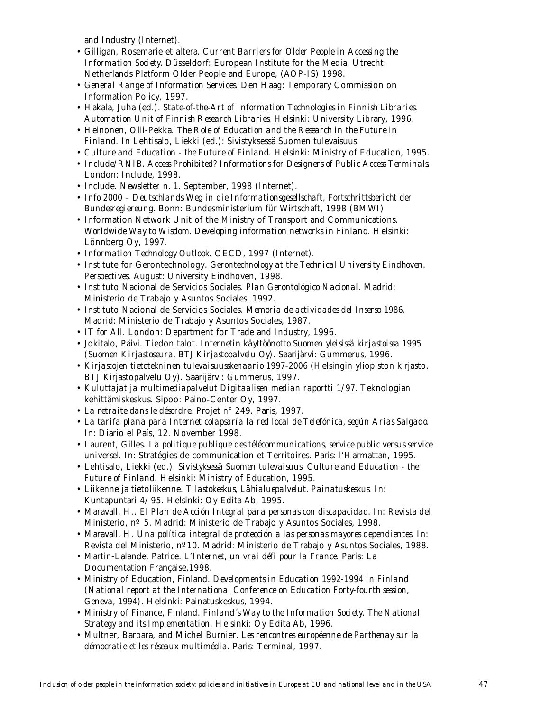and Industry (Internet).

- Gilligan, Rosemarie et altera. *Current Barriers for Older People in Accessing the Information Society.* Düsseldorf: European Institute for the Media, Utrecht: Netherlands Platform Older People and Europe, (AOP-IS) 1998.
- *General Range of Information Services*. Den Haag: Temporary Commission on Information Policy, 1997.
- Hakala, Juha (ed.). *State-of-the-Art of Information Technologies in Finnish Libraries. Automation Unit of Finnish Research Libraries*. Helsinki: University Library, 1996.
- Heinonen, Olli-Pekka. *The Role of Education and the Research in the Future in Finland*. In Lehtisalo, Liekki (ed.): Sivistyksessä Suomen tulevaisuus.
- *Culture and Education the Future of Finland*. Helsinki: Ministry of Education, 1995.
- *Include/RNIB. Access Prohibited? Informations for Designers of Public Access Terminals*. London: Include, 1998.
- Include. *Newsletter n. 1*. September, 1998 (Internet).
- *Info 2000 Deutschlands Weg in die Informationsgesellschaft, Fortschrittsbericht der Bundesregiereung*. Bonn: Bundesministerium für Wirtschaft, 1998 (BMWI).
- Information Network Unit of the Ministry of Transport and Communications. *Worldwide Way to Wisdom. Developing information networks in Finland*. Helsinki: Lönnberg Oy, 1997.
- *Information Technology Outlook*. OECD, 1997 (Internet).
- Institute for Gerontechnology. *Gerontechnology at the Technical University Eindhoven. Perspectives*. August: University Eindhoven, 1998.
- Instituto Nacional de Servicios Sociales. *Plan Gerontológico Nacional*. Madrid: Ministerio de Trabajo y Asuntos Sociales, 1992.
- Instituto Nacional de Servicios Sociales. *Memoria de actividades del Inserso 1986*. Madrid: Ministerio de Trabajo y Asuntos Sociales, 1987.
- *IT for All*. London: Department for Trade and Industry, 1996.
- Jokitalo, Päivi. Tiedon talot. *Internetin käyttöönotto Suomen yleisissä kirjastoissa 1995 (Suomen Kirjastoseura. BTJ Kirjastopalvelu Oy)*. Saarijärvi: Gummerus, 1996.
- *Kirjastojen tietotekninen tulevaisuusskenaario 1997-2006* (Helsingin yliopiston kirjasto. BTJ Kirjastopalvelu Oy). Saarijärvi: Gummerus, 1997.
- *Kuluttajat ja multimediapalvelut Digitaalisen median raportti 1/97*. Teknologian kehittämiskeskus. Sipoo: Paino-Center Oy, 1997.
- *La retraite dans le désordre*. Projet n° 249. Paris, 1997.
- *La tarifa plana para Internet colapsaría la red local de Telefónica, según Arias Salgado*. In: Diario el País, 12. November 1998.
- Laurent, Gilles. *La politique publique des télécommunications, service public versus service universel*. In: Stratégies de communication et Territoires. Paris: l'Harmattan, 1995.
- Lehtisalo, Liekki (ed.). *Sivistyksessä Suomen tulevaisuus. Culture and Education the Future of Finland*. Helsinki: Ministry of Education, 1995.
- Liikenne ja tietoliikenne. *Tilastokeskus, Lähialuepalvelut. Painatuskeskus*. In: Kuntapuntari 4/95. Helsinki: Oy Edita Ab, 1995.
- Maravall, H.. *El Plan de Acción Integral para personas con discapacidad*. In: Revista del Ministerio, nº 5. Madrid: Ministerio de Trabajo y Asuntos Sociales, 1998.
- Maravall, H. *Una política integral de protección a las personas mayores dependientes*. In: Revista del Ministerio, nº10. Madrid: Ministerio de Trabajo y Asuntos Sociales, 1988.
- Martin-Lalande, Patrice. *L'Internet, un vrai défi pour la France*. Paris: La Documentation Française,1998.
- Ministry of Education, Finland. *Developments in Education 1992-1994 in Finland (National report at the International Conference on Education Forty-fourth session, Geneva, 1994)*. Helsinki: Painatuskeskus, 1994.
- Ministry of Finance, Finland. *Finland´s Way to the Information Society*. *The National Strategy and its Implementation*. Helsinki: Oy Edita Ab, 1996.
- Multner, Barbara, and Michel Burnier. *Les rencontres européenne de Parthenay sur la démocratie et les réseaux multimédia*. Paris: Terminal, 1997.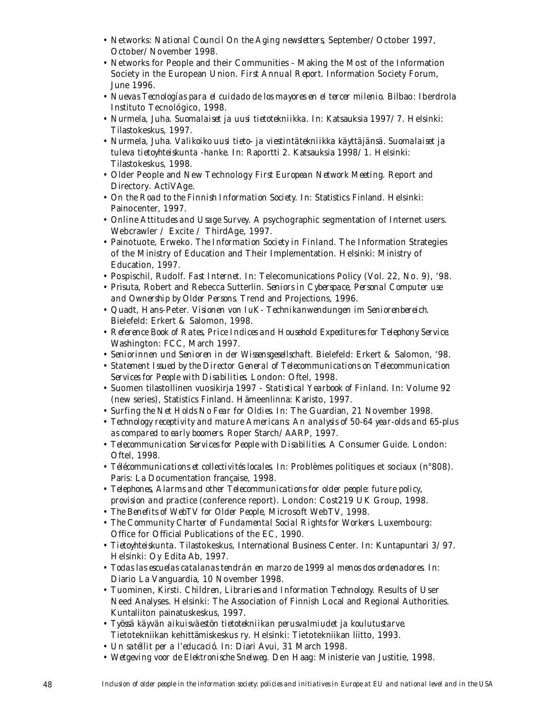- Networks: *National Council On the Aging newsletters*, September/October 1997, October/November 1998.
- Networks for People and their Communities Making the Most of the Information Society in the European Union. *First Annual Report*. Information Society Forum, June 1996.
- *Nuevas Tecnologías para el cuidado de los mayores en el tercer milenio*. Bilbao: Iberdrola Instituto Tecnológico, 1998.
- Nurmela, Juha. *Suomalaiset ja uusi tietotekniikka*. In: Katsauksia 1997/7. Helsinki: Tilastokeskus, 1997.
- Nurmela, Juha. *Valikoiko uusi tieto- ja viestintätekniikka käyttäjänsä. Suomalaiset ja tuleva tietoyhteiskunta -hanke*. In: Raportti 2. Katsauksia 1998/1. Helsinki: Tilastokeskus, 1998.
- Older People and New Technology *First European Network Meeting*. Report and Directory. ActiVAge.
- *On the Road to the Finnish Information Society*. In: Statistics Finland. Helsinki: Painocenter, 1997.
- *Online Attitudes and Usage Survey*. A psychographic segmentation of Internet users. Webcrawler / Excite / ThirdAge, 1997.
- Painotuote, Erweko. *The Information Society in Finland*. The Information Strategies of the Ministry of Education and Their Implementation. Helsinki: Ministry of Education, 1997.
- Pospischil, Rudolf. *Fast Internet*. In: Telecomunications Policy (Vol. 22, No. 9), '98.
- Prisuta, Robert and Rebecca Sutterlin. *Seniors in Cyberspace, Personal Computer use and Ownership by Older Persons.* Trend and Projections, 1996.
- Quadt, Hans-Peter. *Visionen von IuK- Technikanwendungen im Seniorenbereich*. Bielefeld: Erkert & Salomon, 1998.
- *Reference Book of Rates, Price Indices and Household Expeditures for Telephony Service*. Washington: FCC, March 1997.
- *Seniorinnen und Senioren in der Wissensgesellschaft*. Bielefeld: Erkert & Salomon, '98.
- *Statement Issued by the Director General of Telecommunications on Telecommunication Services for People with Disabilities*. London: Oftel, 1998.
- Suomen tilastollinen vuosikirja 1997 *Statistical Yearbook of Finland*. In: Volume 92 (new series), Statistics Finland. Hämeenlinna: Karisto, 1997.
- *Surfing the Net Holds No Fear for Oldies.* In: The Guardian, 21 November 1998.
- *Technology receptivity and mature Americans: An analysis of 50-64 year-olds and 65-plus as compared to early boomers*. Roper Starch/AARP, 1997.
- *Telecommunication Services for People with Disabilities*. A Consumer Guide. London: Oftel, 1998.
- *Télécommunications et collectivités locales*. In: Problèmes politiques et sociaux (n°808). Paris: La Documentation française, 1998.
- *Telephones, Alarms and other Telecommunications for older people: future policy, provision and practice* (conference report). London: Cost219 UK Group, 1998.
- *The Benefits of WebTV for Older People*, Microsoft WebTV, 1998.
- *The Community Charter of Fundamental Social Rights for Workers*. Luxembourg: Office for Official Publications of the EC, 1990.
- *Tietoyhteiskunta*. Tilastokeskus, International Business Center. In: Kuntapuntari 3/97. Helsinki: Oy Edita Ab, 1997.
- *Todas las escuelas catalanas tendrán en marzo de 1999 al menos dos ordenadores*. In: Diario La Vanguardia, 10 November 1998.
- Tuominen, Kirsti. *Children, Libraries and Information Technology*. Results of User Need Analyses. Helsinki: The Association of Finnish Local and Regional Authorities. Kuntaliiton painatuskeskus, 1997.
- *Työssä käyvän aikuisväestön tietotekniikan perusvalmiudet ja koulutustarve*. Tietotekniikan kehittämiskeskus ry. Helsinki: Tietotekniikan liitto, 1993.
- *Un satéllit per a l'educació*. In: Diari Avui, 31 March 1998.
- *Wetgeving voor de Elektronische Snelweg*. Den Haag: Ministerie van Justitie, 1998.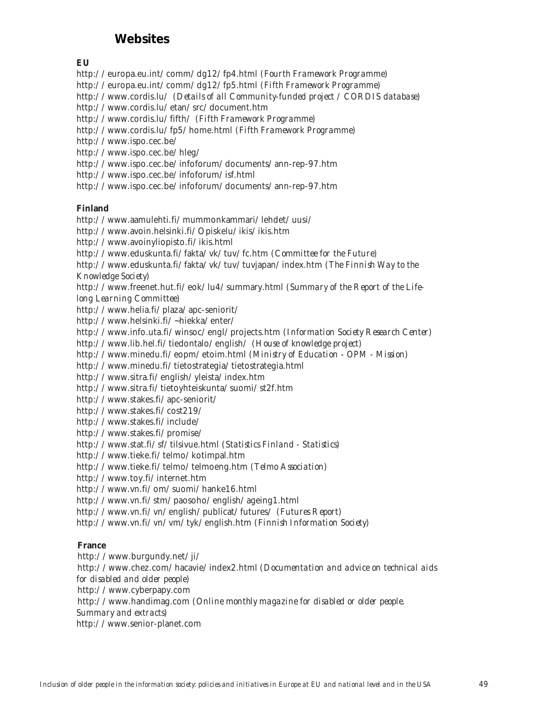# **Websites**

# **EU**

http://europa.eu.int/comm/dg12/fp4.html *(Fourth Framework Programme)* http://europa.eu.int/comm/dg12/fp5.html *(Fifth Framework Programme)* http://www.cordis.lu/ *(Details of all Community-funded project / CORDIS database)* http://www.cordis.lu/etan/src/document.htm http://www.cordis.lu/fifth/ *(Fifth Framework Programme)* http://www.cordis.lu/fp5/home.html *(Fifth Framework Programme)* http://www.ispo.cec.be/ http://www.ispo.cec.be/hleg/ http://www.ispo.cec.be/infoforum/documents/ann-rep-97.htm http://www.ispo.cec.be/infoforum/isf.html http://www.ispo.cec.be/infoforum/documents/ann-rep-97.htm

# **Finland**

http://www.aamulehti.fi/mummonkammari/lehdet/uusi/ http://www.avoin.helsinki.fi/Opiskelu/ikis/ikis.htm http://www.avoinyliopisto.fi/ikis.html http://www.eduskunta.fi/fakta/vk/tuv/fc.htm *(Committee for the Future)* http://www.eduskunta.fi/fakta/vk/tuv/tuvjapan/index.htm *(The Finnish Way to the Knowledge Society)* http://www.freenet.hut.fi/eok/lu4/summary.html *(Summary of the Report of the Lifelong Learning Committee)* http://www.helia.fi/plaza/apc-seniorit/ http://www.helsinki.fi/~hiekka/enter/ http://www.info.uta.fi/winsoc/engl/projects.htm *(Information Society Research Center)* http://www.lib.hel.fi/tiedontalo/english/ *(House of knowledge project)* http://www.minedu.fi/eopm/etoim.html *(Ministry of Education - OPM - Mission)* http://www.minedu.fi/tietostrategia/tietostrategia.html http://www.sitra.fi/english/yleista/index.htm http://www.sitra.fi/tietoyhteiskunta/suomi/st2f.htm http://www.stakes.fi/apc-seniorit/ http://www.stakes.fi/cost219/ http://www.stakes.fi/include/ http://www.stakes.fi/promise/ http://www.stat.fi/sf/tilsivue.html *(Statistics Finland - Statistics)* http://www.tieke.fi/telmo/kotimpal.htm http://www.tieke.fi/telmo/telmoeng.htm *(Telmo Association)* http://www.toy.fi/internet.htm http://www.vn.fi/om/suomi/hanke16.html http://www.vn.fi/stm/paosoho/english/ageing1.html http://www.vn.fi/vn/english/publicat/futures/ *(Futures Report)* http://www.vn.fi/vn/vm/tyk/english.htm *(Finnish Information Society)*

# **France**

http://www.burgundy.net/ji/ http://www.chez.com/hacavie/index2.html *(Documentation and advice on technical aids for disabled and older people)* http://www.cyberpapy.com http://www.handimag.com *(Online monthly magazine for disabled or older people. Summary and extracts)* http://www.senior-planet.com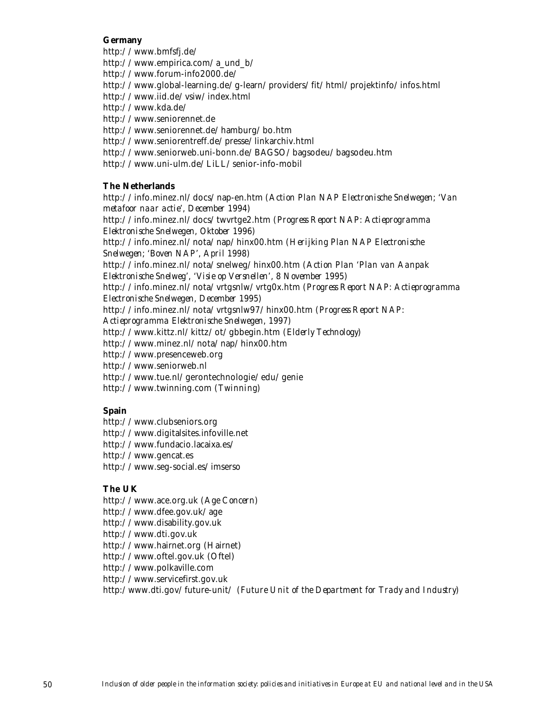# **Germany**

http://www.bmfsfj.de/ http://www.empirica.com/a\_und\_b/ http://www.forum-info2000.de/ http://www.global-learning.de/g-learn/providers/fit/html/projektinfo/infos.html http://www.iid.de/vsiw/index.html http://www.kda.de/ http://www.seniorennet.de http://www.seniorennet.de/hamburg/bo.htm http://www.seniorentreff.de/presse/linkarchiv.html http://www.seniorweb.uni-bonn.de/BAGSO/bagsodeu/bagsodeu.htm http://www.uni-ulm.de/LiLL/senior-info-mobil

# **The Netherlands**

http://info.minez.nl/docs/nap-en.htm *(Action Plan NAP Electronische Snelwegen; 'Van metafoor naar actie', December 1994)* http://info.minez.nl/docs/twvrtge2.htm *(Progress Report NAP: Actieprogramma Elektronische Snelwegen, Oktober 1996)* http://info.minez.nl/nota/nap/hinx00.htm *(Herijking Plan NAP Electronische Snelwegen; 'Boven NAP', April 1998)* http://info.minez.nl/nota/snelweg/hinx00.htm *(Action Plan 'Plan van Aanpak Elektronische Snelweg', 'Visie op Versnellen', 8 November 1995)* http://info.minez.nl/nota/vrtgsnlw/vrtg0x.htm *(Progress Report NAP: Actieprogramma Electronische Snelwegen, December 1995)* http://info.minez.nl/nota/vrtgsnlw97/hinx00.htm *(Progress Report NAP: Actieprogramma Elektronische Snelwegen, 1997)* http://www.kittz.nl/kittz/ot/gbbegin.htm *(Elderly Technology)* http://www.minez.nl/nota/nap/hinx00.htm http://www.presenceweb.org http://www.seniorweb.nl http://www.tue.nl/gerontechnologie/edu/genie http://www.twinning.com *(Twinning)*

# **Spain**

http://www.clubseniors.org http://www.digitalsites.infoville.net http://www.fundacio.lacaixa.es/ http://www.gencat.es http://www.seg-social.es/imserso

# **The UK**

http://www.ace.org.uk *(Age Concern)* http://www.dfee.gov.uk/age http://www.disability.gov.uk http://www.dti.gov.uk http://www.hairnet.org (Hairnet) http://www.oftel.gov.uk (Oftel) http://www.polkaville.com http://www.servicefirst.gov.uk http:/www.dti.gov/future-unit/ *(Future Unit of the Department for Trady and Industry)*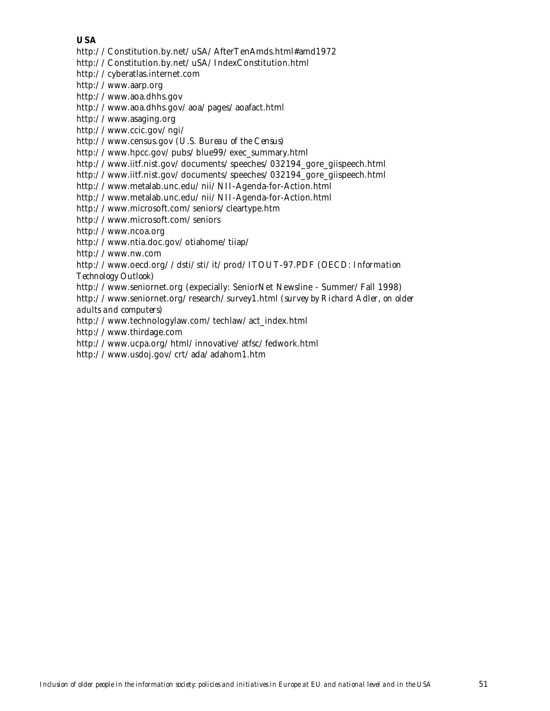# **USA**

http://Constitution.by.net/uSA/AfterTenAmds.html#amd1972

http://Constitution.by.net/uSA/IndexConstitution.html

http://cyberatlas.internet.com

http://www.aarp.org

http://www.aoa.dhhs.gov

http://www.aoa.dhhs.gov/aoa/pages/aoafact.html

http://www.asaging.org

http://www.ccic.gov/ngi/

http://www.census.gov *(U.S. Bureau of the Census)*

http://www.hpcc.gov/pubs/blue99/exec\_summary.html

http://www.iitf.nist.gov/documents/speeches/032194\_gore\_giispeech.html

http://www.iitf.nist.gov/documents/speeches/032194\_gore\_giispeech.html

http://www.metalab.unc.edu/nii/NII-Agenda-for-Action.html

http://www.metalab.unc.edu/nii/NII-Agenda-for-Action.html

http://www.microsoft.com/seniors/cleartype.htm

http://www.microsoft.com/seniors

http://www.ncoa.org

http://www.ntia.doc.gov/otiahome/tiiap/

http://www.nw.com

http://www.oecd.org//dsti/sti/it/prod/ITOUT-97.PDF *(OECD: Information Technology Outlook)*

http://www.seniornet.org (expecially: SeniorNet Newsline - Summer/Fall 1998)

http://www.seniornet.org/research/survey1.html *(survey by Richard Adler, on older adults and computers)*

http://www.technologylaw.com/techlaw/act\_index.html

http://www.thirdage.com

http://www.ucpa.org/html/innovative/atfsc/fedwork.html

http://www.usdoj.gov/crt/ada/adahom1.htm